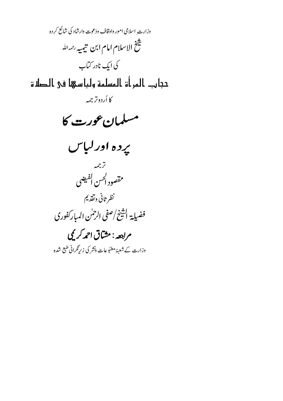وزارت ِ اسلامی امور واوقاف ودَعوت وارشاد کی شائع کردہ .<br>تشخ الاسلام امام ابن تيميه رحمه<sup>الله</sup> کی ایک نادر کتاب حجا ب المر أة المسلمة ولبا سيخا فى الصالة كا أردوترجمه مسلمان عورت کا يرده اورلباس ترجمه<br>مقصود ا*خسن* الفیضی نظر ثاني ونقذيم فضيلة الشخ/صفي الرحمٰن المباركفوري مراجعه : مثباتی احمد کریمی وزارت کے شعبۂ مطبُوعات ونشر کی زیرنگرانی طبع شدہ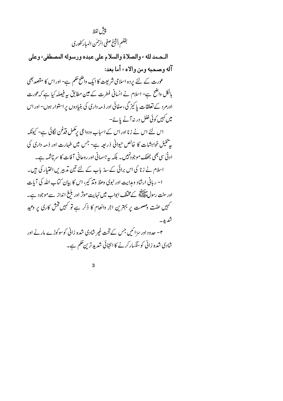يبش لفظ بقلم الشخ صفى الرحمٰن المباركفوري

الـحـمد لله ، والصلاة والسلام على عبده ورسوله المصطفى، وعلى آله وصحبه ومن والاه ، أما بعد: عورت کے لئے یردہ اسلامی شریعت کا ایک واضح حکم ہے– اور اس کا مقصد بھی بالکل واضح ہے- اسلام نے انسانی فطرت کے عین مطابق بہِ فیصلہ کیا ہے کہ عورت اورمرد کے تعلقات پا کیز گی، صفائی اور ذیبہ داری کی بنیادوں پر استوار ہوں– اور اس میں کہیں کوئی خلل در نہ آنے پائے– اس لئے اس نے زنا اور اس کے اسباب ودواعی برِمکمل قدغن لگائی ہے۔ کیونکہ یہ پھیل خواہشات کا خالص حیوانی ذریعہ ہے۔ جس میں طہارت اور ذمہ داری کی ادنیٰ سی بھی جھلک موجود نہیں۔ بلکہ یہ جسمانی اور روحانی آفات کا سرچشمہ ہے۔ اسلام نے زنا کی اس برائی کے سدّ باب کے لئے تین تذبیریں اختیار کی ہیں۔ ا– ربانی ارشاد و مدایت اور نبوی وعظ وتذ کیر، اس کا بیان کتاب الله کی آیات اورسنت رسول ﷺ کے مختلف ابواب میں نہایت موثر اور بلبغ انداز سے موجود ہے۔ <sup>کہ</sup>بیں عفت وعصمت پر بہترین اجر وانعام کا ذکر ہے تو کہیں کخش کاری پر وعید شدید۔ ۲– حدود اور سزائنیں جس کے تحت غیر شادی شدہ زانی کوسوکوڑے مارنے اور

شادی شدہ زانی کوسنگسار کرنے کا انتہائی شدیدِ ترین حکم ہے۔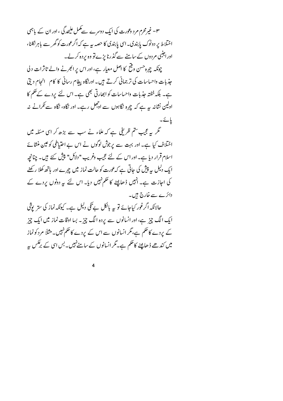۳۔ غیرمحرم مرد وعورت کی ایک دوسرے سے مکمل علیحدگی ، اور ان کے پاہمی اختلاط پر دوٹوک پابندی۔اسی پابندی کا حصہ ہیے ہے کہ اگرعورت کو گھر سے باہر نکلنا، اور اجنبی مردوں کے سامنے سے گذرنا پڑے تو وہ پردہ کرلے۔ چونکہ چہ<sup>6حسن</sup> وقتح کا اصل معیار ہے، اور اس پر ا<sub>ک</sub>جرنے والے تاثرات دلی جذبات واحساسات کی تر جمانی کرتے ہیں۔اورنگاہ پیغام رسانی کا کام ِ انجام دیتی ہے۔ بلکہ خفتہ جذبات واحساسات کو ابھارتی بھی ہے۔اس لئے پردے کے حکم کا اولین نشانہ یہ ہے کہ چہرہ نگاہوں سے اوجھل رہے۔ اور نگاہ، نگاہ سے ٹکرانے نہ بائے۔ گر رہ عجیب ستم ظریفی ہے کہ علماء نے سب سے بڑھ کر اسی مسکہ میں اختلاف کیا ہے۔ اور بہت سے پر جوش لوگوں نے اس بے احتیاطی کو عین منشائے اسلام قرار دیا ہے۔ اور اس کے لئے عجیب وغریب "دلاَئل" پیش کئے ہیں۔ چنانچہ ایک دلیل پہ پیش کی جاتی ہے کہ عورت کو حالت نماز میں چہرے اور ہاتھ کھلا رکھنے

کی اجازت ہے۔ اُنہیں ڈھامپنے کا حکم نہیں دیا۔ اس لئے یہ دونوں پردے کے دائرے سے خارج ہیں۔

حالانکہ اگرغور کیاجائے تو یہ بالکل بے تکی دلیل ہے۔ کیونکہ نماز کی ستر پوشی ایک الگ چیز ہے، اور انسانوں سے یردہ الگ چیز۔ بسا اوقات نماز میں ایک چیز کے پردے کا حکم ہے،مگر انسانوں سے اس کے پردے کا حکم نہیں۔مثلاً مرد کو نماز میں کندھے ڈھانپنے کاحکم ہے۔مگر انسانوں کے سامنے نہیں۔ بس اسی کے برعکس پیر

 $\overline{4}$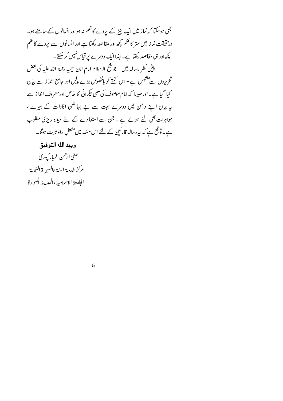بھی ہوسکتا کہ نماز میں ایک چیز کے پردے کا حکم نہ ہواور انسانوں کے سامنے ہو۔ درحقیقت نماز میں ستر کا حکم کچھ اور مقاصد رکھتا ہے اور انسانوں سے پردے کا حکم کچھ اور ہی مقاصد رکھتا ہے۔لہٰذا ایک دوسرے پر ق<u>باس</u> نہیں کرسکتے۔ پیش نظر رسالہ میں- جو شیخ الاسلام امام ابن تیمیہ رحمۃ اللہ علیہ کی بعض تحریروں سے مقتبس ہے – اس تکتے کو بالخصوص بڑے مدل اور جامع انداز سے بیان کیا گیا ہے۔ اور جیپیا کہ امام موصوف کی علمی پکرانی کا خاص اور معروف انداز ہے یہ بیان اپنے دامن میں دوسرے بہت سے بے بہا علمی افادات کے ہیرے ، جواہرات بھی لئے ہوئے ہے ۔ جن سے استفادے کے لئے دیدہ ریزی مطلوب ہے۔تو قع ہے کہ بیررسالہ قارئین کے لئے اس مسئلہ میں مشعل راہ ثابت ہوگا۔

5

وبيد الله التوفيق صفى الرحمٰن المبار كيوري مركز خدمة السنة والسير ة النبوية الجامعة الإسلامية ،المدينة المنورة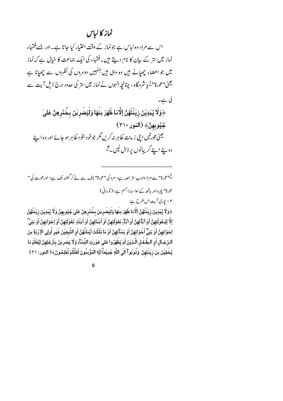#### نماز كالباس

اس سے مراد وہ لباس ہے جونماز کے وقت اختیار کیا جاتا ہے۔ اور جسے فقہاء نماز میں ستر کے بیان کا نام دیتے ہیں۔فقہاء کی ایک جماعت کا خیال ہے کہ نماز میں جو اعضاء چھپانے ہیں وہ وہی ہیں جنہیں دوسروں کی نظروں سے چھپانا ہے لینی"عورة" کے یا شرمگاہ ، چنانچہ انہوں نے نماز میں ستر کی حدود درج ذیل آیت سے لى ہے۔ ﴿وَلَا يُبْدِيْنَ زِيْنَتَهُنَّ اِلَّامَا ظَهَرَ مِنْهَا وَلْيَضْرِبْنَ بِخُمُرِهِنَّ عَلَىٰ جُيُوبِهِنَّ (النور ٣١٠) لیجنی عورتیں اپنی زینت ظاہر نہ کریں مگر جوخود بخو د ظاہر ہو جائے اور وہ اپنے دوپٹے اپنے گریبانوں پر ڈال لیں گے <sup>ل</sup>"عورة" سے مراد واجب ستر حصہ ہے- مرد کی "عورة" ناف سے لے کر گھٹنہ تک ہے- اورعورت کی "

> عورة" ڇپره اور پاتھ کےسوا ساراجسم ہے–(نورانی) ۲ - بوری آیت اس طرح ہے:

﴿وَلَا يُبْدِيْنَ رَيْنَتَهُنَّ اِلَّامَا ظَهَرَ مِنْهَا وَلْيَضْرِبْنَ بِخُمُرِهِنَّ عَلَىٰ جُيُوبِهِنَّ وَلَا يُبْدِيْنَ زِيْنَتَهُنَّ اِلَّا لِبُـعُوْلَتِهِنَّ اَوْ اٰبَآَئِهِنَّ اَوْ اٰبَآءِ بُعُوْلَتِهِنَّ اَوْ اَبْنَاءِهُنَّ اَوْ لِخَوَانِهِنَّ اَوْ يَنِيْ اِخْوَانِهِنَّ اَوْ بَنِيَّ اَخَوَاتِهِنَّ اَوْ نِسَآتِهِنَّ اَوْ مَا مَلَكَتْ اَيْمَانُهُنَّ اَوِ التَّبِعِيْنَ غَيْرِ اُولِي الْإِرْبَةِ مِنَ الرِّجَـالِ أَوِ الـطِّـفْـلِ الَّـذِيْنَ لَمْ يَظْهَرُوا عَلَىٰ عَوْرِتِ النِّسَآءِ وَلَا يَضْرِبْنَ بِأَرْجُلِهِنَّ لِيُعْلَمَ مَا يُخْفِيْنَ مِنْ زِيْنَتِهِنَّ ۚ وَتُوبُوآ إِلَى اللَّهِ جَمِيْعاً آيُّهَ الْمُؤْمِنُونَ لَعَلَّكُمْ تُفْلِحُونَ﴾( النور: ٣١)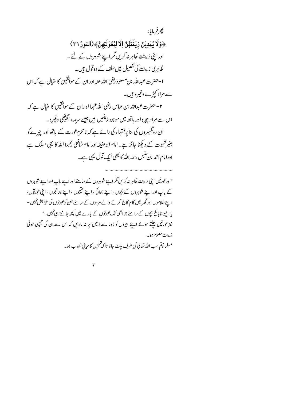چرفرمایا: ﴿وَلَا يُبْدِيْنَ زِيْنَتَهُنَّ إِلَّا لِبُعُوْلَتِهِنَّ﴾(النورُ ٣١) اورا بنی زینت ظاہر نہ کریں گر اپنے شوہروں کے لئے۔ خاہری زینت کی تفصیل میں سلف کے دوقول ہیں۔ ا–حضرت عبداللہ بن مسعود رضی اللہ عنہ اور ان کے موافقین کا خیال ہے کہ اس سے مراد کیڑے وغیرہ بیں۔ ۲- حضرت عبداللہ بن عباس رضی اللہ عنہما او ران کے موافقین کا خیال ہے کہ اس سے مراد چہرہ اور ہاتھ میں موجود زینتیں ہیں جیسے سرمہ، انگوَٹھی وغیرہ۔ ان دوتفسیروں کی بنا پر فقہاء کی رائے ہے کہ نامحرم عورت کے ماتھ اور چہرے کو بغیرشہوت کے دیکھنا جائز ہے۔امام ابوحنیفہ اور امام شافعی رحمہما اللہ کا یہی مسلک ہے اورامام احمد بن حنبل رحمہ اللہ کا بھی ایک قول یہی ہے۔

"اورعورتیں اپنی زینت خاہر نہ کریں گر اپنے شوہروں کے سامنے اور اپنے باپ اور اپنے شوہروں کے باپ اور اپنے شوہروں کے بچوں ، اپنے بھائی ، اپنے بھیبجوں ، اپنے بھانجوں ، اپنی عورتوں، اپنے غلاموں اور گھر میں کام کاج کرنے والے مردوں کے سامنے جن کوعورتوں کی خواہش نہیں -یا ایسے نابالغ بچوں کے سامنے جوابھی تک عورتوں کے بارے میں کچھ جانتے ہی نہیں۔" نیز عورتیں چلتے ہوئے اپنے پیروں کو زور سے زمیں پر نہ ماریں کہ اس سے ان کی چھپی ہوئی زينت معلوم ہو۔ مسلمانوتم سب الله تعالى كى طرف بلِٹ جاؤ تا كەتىہمیں كامیابی نصیب ہو۔

 $\overline{7}$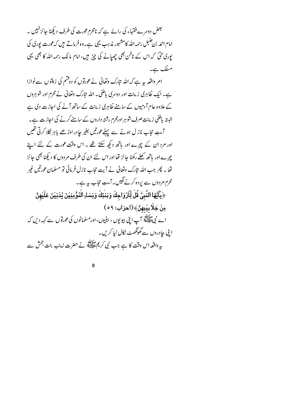بعض دوسرے فقہاء کی رائے ہے کہ نامحرم عورت کی طرف دیکھنا حائز نہیں ۔ امام احمہ بن حنبل رحمہ اللہ کامشہور مذہب یہی ہے۔وہ فرماتے ہیں کہ عورت یوری کی پوری حتیٰ کہ اس کے ناخن بھی چھپانے کی چیز ہیں، امام مالک رحمہ اللہ کا بھی یہی مسلک ہے۔ امر واقعہ ہہ ہے کہ اللہ تارک وتعالٰی نے عورتوں کو دوقتم کی زیتوں سے نوازا ہے۔ ایک ظاہری زینت اور دوسری باطنی۔ اللہ متارک وتعالیٰ نے محرم اور شوہروں کے علاوہ عام آ دمیوں کے سامنے ظاہری زینت کے ساتھ آنے کی اجازت دی ہے البتہ باطنی زینت صرف شوہر اورمحرم رشتہ داروں کے سامنے کرنے کی اجازت ہے۔ آیتِ حجابِ ناز ل ہونے سے پہلےعورتیں بغیر حادر اوڑھے باہر نکلا کرتی تھیں اور مرد ان کے چرے اور ہاتھ دیکھ سکتے تھے ۔ اس وقت عورت کے لئے اپنے چہرے اور ہاتھ کھلے رکھنا جائز تھا اور اس لئے ان کی طرف مردوں کا دیکھنا بھی جائز تھا ۔ پھر جب اللہ تبارک وتعالٰی نے آیت تحاب نازل فرمائی تو مسلمان عورتیں غیر محرم مردوں سے یردہ کرنے لکیں۔آیتِ حجاب ہیے۔ ﴿ يَآَيُّهَا النَّبِيُّ قُلْ لِّآزْوَاجِكَ وَبَنٰتِكَ وَنِسَاءِ الْمُؤْمِنِيْنَ يُدْنِيْنَ عَلَيْهِنَّ مِنْ جَلَابِيْبِهِنَّ ﴾ (احزاب: ٥٩) اے نبی حالاتیں آپ اپنی بیویوں ، بیٹیوں، اور مسلمانوں کی عورتوں سے کہہ دیں کہ ا بنی جادروں سے گھوْنگھٹ نکال لیا کریں۔ بیرواقعہ اس وقت کا ہے جب نمی کریم ﷺ نے حضرت زینب بنت جحش سے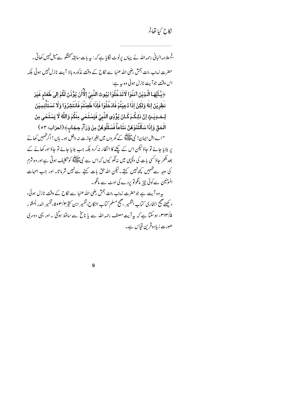#### نكاح كيا تفاكي

<sup>لے</sup> علامہ البانی رحمہ اللہ نے یہاں پرنوٹ لگایا ہے کہ : یہ بات سابقہ گفتگو سے میل نہیں کھاتی۔ حضرت زینب بنت جحش رضی اللہ عنہا سے نکاح کے وقت مذکورہ بالا آیت نازل نہیں ہوئی بلکہ اس وقت جوآيت نازل ہوئی وہ ہہ ہے: ﴿يَآ أَيُّهَـا الَّـذِيْنَ اٰمَنُوْا لَاتَدْخُلُوْا بُيُوتَ النَّبِيِّ اِلَّآاَنْ يُؤْذَنَ لَكُمْ اِلىٰ طَعَامِ غَيْرَ نْظِرِيْنَ اِنهُ وَلٰكِنْ اِذَا دُعِيْتُمْ فَادْخُلُوْا فَإِذَا طَعِمْتُمْ فَانْتَشِرُوْا وَلَا مُسْتَأْنِسِيْنَ لِـحَـدِيْـثٍ اِنَّ ذٰلِـكُـمْ كَـانَ يُؤْذِى النَّبِيِّ فَيَسْتَحْى مِنْكُمْ وَاللَّهُ لَا يَسْتَحْى مِنَ الْحَقّ وَإِذَا سَاَلْتُمُوْهُنَّ مَتَاعاً فَسْئَلُوهُنَّ مِنْ وَرَآءِ حِجَابٍ﴾(احزاب: ٥٣) " اے اہل ایمان! نبیﷺ کے گھروں میں بغیر احازت نہ داخل ہو۔ ہاں ! اگر تہہیں کھانے پر بلایا جائے تو جاؤلیکن اس کے پینے کا انتظار نہ کرو بلکہ جب بلایا جائے تو جاؤ اور کھانے کے بعد بھر جاؤ<sup>س</sup>ی بات کی دلچپی میں نہ لگو کیوں کہ اس سے نبیﷺ کو تکلیف ہوتی ہے اور وہ شرم کی وجہ سے شہیں کچھ نہیں کہتے۔لیکن اللہ حق بات کہنے سے نہیں شرما تا۔ اور جب امہات المونٹین سے کوئی چز مانگوتو پردے کی اوٹ سے مانگو۔ بیروہ آیت ہے جوحضرت زینب بنت جحش رضی اللہ عنہا سے نکاح کے وقت نازل ہوئی، ديكھئے ضجع ابخاري كتاب النفيبر ،صجح مسلم كتاب النكاح،تفسير ابن كثير٣/٣ • ٥،تفسير الدر المثو ر %۳۱۳، ہوسکتا ہے کہ ہیرآ پت مصنف رحمہ اللہ سے یا ناسخ سے ساقط ہوگئی ۔ اور یہی دوسری صورت زیادہ قرین قباس ہے۔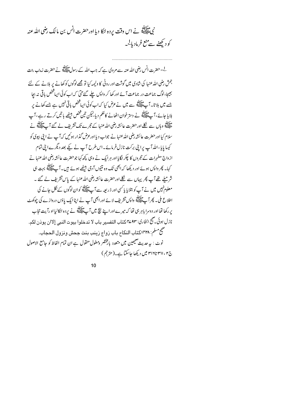<sup>لے۔</sup> حضرت انس رضی اللہ عنہ سے مروی ہے کہ جب اللہ کے رسولﷺ نے حضرت زینب بنت جحش رضی اللہ عنہا کی شادی میں گوشت اور روٹی کا ولیمہ کیا تو مجھے لوگوں کو کھانے پر بلانے کے لئے بھیجا،لوگ جماعت در جماعت آئے اور کھا کر واپس چلے گئے حتیٰ کہ اب کوئی ایپاشخص باقی نہ بچا جسے میں بلاتا۔آپﷺ سے میں نے *عرض کیا کہ اب کوئ*ی ایپاشخص باقی نہیں ہے جسے کھانے پر بلابا حائے، آپ ﷺ نے دستر خوان اٹھانے کاحکم دیا،لیکن تین فخص بیٹھے باتیں کرتے رہے،آپ ۔<br>علیلنگ وہاں سے نکلے اور حضرت عائشہ رضی اللہ عنہا کے حجرے تک تشریف لے گئے آپ علیلنگھ نے ۔<br>سلام کیا اور حضرت عائشہ رضی اللہ عنہا نے جواب دیا اور *عرض گذ*ار ہوئیں کہ آپ نے اپنی بیوی کو کیپا پایا ،اللہ آپ پرا پی برکت نازل فرمائے۔اس طرح آپ نے کیے بعد دیگرےاپی تمام از داج مطہرات کے حجروں کا چکر لگایا اور ہرایک نے وہی کچھ کہا جوحضرت عائشہ رضی اللہ عنہا نے کہا۔ پھر داپس ہوئے اور دیکھا کہ ابھی تک وہ نتیوں آ دی بیٹھے ہوئے ہیں۔آپ ﷺ بہت ہی شر مبلے تھے آپ پھر یہاں سے نکلے اور حضرت عائشہ رضی اللہ عنہا کے پاس تشریف لے گئے ۔ معلوم<sup>نہ</sup>یں میں نے آپ کو بتلایا پا<sup>کس</sup>ی اور ذریعہ سے آپ ﷺ کوان لوگوں کےنکل جانے کی اطلاع ملی۔ پھر آپ ﷺ واپس تشریف لائے اور ابھی آپ نے اپنا ایک پاؤں دروازے کی چوکھٹ یر رکھا تھا اور دوسرا باہر ہی تھا کہ میرے اور اپنے نیچ میں آپ ایک ایک پر دہ انکالیا او رآیت حجاب نازل ہوئی۔صحیح ابخاری: ۴۷۹۳ کتاب التفسیر بیاب لا تبدخلو! بیوت النبی إلاان مویذن لکے۔ صحيح مسلم: ١٣٣٨ كتاب النكاح باب زواج زينب بنت جحش ونزول الحجاب۔ نوٹ : بہ حدیث صحیحین میں متعدد بارمخضر ومطول منقول ہے ان تمام الفاظ کو جامع الاصول ج۲، ۳۱۶ تا۲۱۹ میں دیکھا جاسکتا ہے۔(مترجم)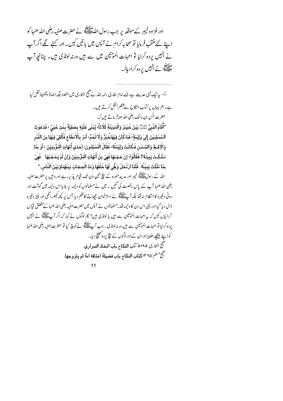اورغز وہ خیبر کےموقعہ پر جب رسول اللہﷺ نے حضرت صفیہ رضی اللہ عنہا کو اپنے لئے منتخب فرمایا تو صحابہ کرام نے آپس میں باتیں کیں۔اور کہنے لگے اگر آپ نے انہیں یردہ کرایا تو امہات المونٹین میں سے ہیں ورنہ لونڈی ہیں۔ چنانچہ آپ مثالاته<br>علیملکه نے انہیں یردہ کرادیا۔

۔<br>یا۔ س<sub>ت</sub>ا یک کمبی حدیث ہے جسے امام بخاری رحمہ اللہ نے ضج ابنخاری میں متعدد جگہ اجمالاً وتفصیلاً نقل کیا ہے۔ ہم یہاں پر کتاب النکاح سے مختصراً نقل کرتے ہیں۔ حضرت انس بن مالك رضي الله عنه فرماتے ہيں كہ: "أَقَامَ النَّبِيُّ عَيْنِالِمْ بَيْنَ خَيْبَرَ وَالْمَدِيْنَةِ ثَلَاثاً، يُبْنَى عَلَيْهِ بِصَفِيَّةَ بِنْتِ حُيَيٍّ ، فَدَعَوْتُ الْمُسْلِمِيْنَ إِلَىٰ وَلِيْمَةٍ، فَمَا كَانَ فِيْهَاخُبْزٌ وَلَا لَحْمٌ، اَمَرَ بِالْاَنْطَاعِ فَأُلْقِىَ فِيْهَا مِنَ التَّمْرِ وَالْإِقِـطِ وَالسَّـمَـنِ فَـكَانَتْ وَلِيْمَتُهُ ۚ فَقَالَ الْمُسْلِمُونَ: اِحْدَى أُمَّهَاتِ الْمُؤْمِنِيْنَ ، آوْ مِمَّا مَـلَـكَـتْ يَمِيْنُهُ؟ فَقَالُوْا: اِنْ حَجَبَهَا فَهِيَ مِنْ اُمَّهَاتِ الْمُؤْمِنِيْنَ وَاِنْ لَمْ يَحْجُبْهَا ۖ فَهِيَ مِمَّا مَلَكَتْ يَمِيْنُهُ. فَلَمَّا ارْتَحَلَ وَطَّى لَهَا خَلْفَهَا وَمَدَّ الْحِجَابَ بَيْنَهُمَاوَبَيْنَ النَّاس-" اللہ کے رسولﷺ خیبر اور مدینہ منورہ کے نیچ تین دن تک قیام یذیر رہے اور وہن پر حضرت صفیہ رضی اللہٴنہا آپ کے پاس رخصت کی گئیں ۔ میں نےمسلمانوں کو دلیمہ پر بلایا اس ولیمہ میں گوشت اور روٹی وغیرہ کا انتظام نہ تھا بلکہ آپﷺ نے دسترخوان بچپانے کاحکم دیا جس پر کچھ کچھور، گھی اور پنیر وغیرہ ڈال دیا گیا اور یہی اس دن کا ولیمہ تھا۔مسلمانوں نے آپس میں حضرت صفیہ رضی اللہ عنہا کے متعلق قیاس آرائیاں کیں کہ یہ امہات المومنین سے ہیں یا لونڈی ہیں؟ پھر لوگوں نے کہا کہ اگر آپ ﷺ نے انہیں یردہ کرایا تو امہات المونٹین سے ہیں ورنہ لونڈ ک۔ جب آپﷺ نے کوچ کیا تو حضرت صفیہ رضی اللہ عنہا کواپنے پیچھے بٹھایا اور ان کے اورلوگوں کے نتیج پر دہ تھینج دیا۔ صحيح النجارى: ٨٠٨٥ كتاب النكاح باب اتتخاذ السرارى-صحح مسلم:١٣٦٥ كتاب النكاح باب فضيلة اعتاقه امة ثم يتزوجها.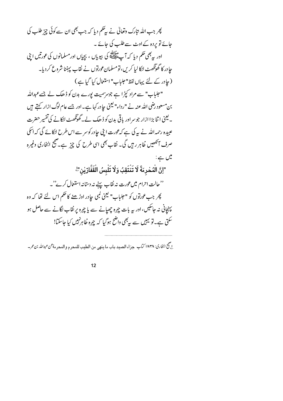پھر جب اللہ متارک وتعالیٰ نے بیڑھم دیا کہ جب بھی ان سے کوئی چیز طلب کی جائے تو پردہ کے اوٹ سے طلب کی جائے ۔ اور په بھی حکم دیا کہ آپ ﷺ کی بیویاں ، بیجان اور مسلمانوں کی عورتیں اپنی جادر کا گھونگھٹ لڑکا لیا کریں،تومسلمانعورتوں نے نقاب پہننا شروع کردیا۔ (جادر کے لئے یہاں لفظ"علباب" استعال کیا گیا ہے) "حلباب" سے مراد کپڑا ہے جوسرسمیت یورے بدن کو ڈھک لے جسےعبداللہ بن مسعود رضی اللہ عنہ نے "رداء" یعنی جاٍ در کہا ہے۔اور جسے عام لوگ ازار کہتے ہیں ۔ یعنی اتنا بڑا ازار جوسر اور باقی بدن کو ڈھک لے۔گھونگھٹ لٹکانے کی تفسیر حضرت عبیدہ رحمہ اللہ نے بیرکی ہے کہ عورت اپنی حادر کوسر سے اس طرح ایکا ئے گی کہ اسکی صرف آنکھیں ظاہر رہیں گی۔ نقاب بھی اسی طرح کی چیز ہے۔صحیح ابنجاری وغیرہ میں ہے : "اِنَّ الْمُحْرِمَةَ لَا تَنْتَقِبُ وَلَا تَلْبِسُ الْقَفَّارَيْن" ''حالت احرام میں عورت نہ نقاب پہنے نہ دستانہ استعال کرے''۔ پھر جب عورتوں کو "حلباب" کیجنی کمبی ح<u>ا</u>در اوڑ ھنے کا حکم اس لئے تھا کہ وہ پہنچانی نہ جاسکیں، اور یہ بات چہرہ چھپانے سے یا چہرہ پر نقاب لگانے سے حاصل ہو سکتی ہے۔تو پہیں سے یہ بھی واضح ہوگیا کہ چہرہ ظاہرنہیں کیا جاسکتا! اضج النجاري: ١٨٣٨ كتاب جزاء الصيد باب ما ينهي من الطيب للمحرم والمحرمة عن عبرالله بن عمر -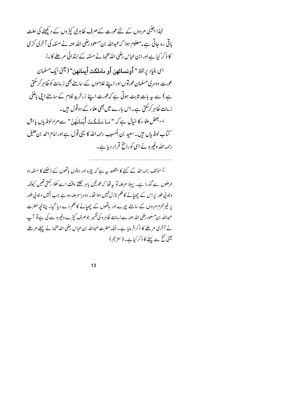لہٰذا اجنبی مردوں کے لئے عورت کےصرف ظاہری کپڑ وں کے دیکھنے کی حلت پاقی رہ جاتی ہے۔معلوم ہوا کہ عبداللہ بن مسعود رضی اللہ عنہ نے مسئلہ کی آخری کڑی کا ذکر کیا ہے اور ابن عباس رضی اللہ عنہما نے مسئلہ کے ابتدائی مرحلے کا لے اسى بنياد يرلفظ " أونسائهن أو ماملكت أيمانهن" (يعني ايك مسلمان عورت دوسری مسلمان عورتوں اور اپنے غلاموں کے سامنے بھی زینت کو ظاہر کر سکتی ہے ) سے بیہ بات ثابت ہوتی ہے کہ عورت اپنے زرخرید غلام کے سامنے اپنی باطنی زینت ظاہر کر کتی ہے۔اس بارے میں بھی علماء کے دوقول ہیں۔ ا-بعض علماء كا خيال ہے كہ " مَسا مَسلَـكَـتْ أَيْمَانُهُنَّ " سے مرادلونڈیاں یا اہل ۔<br>سماے لونڈیاں ہیں۔سعید بن المسیب رحمہ اللہ کا یہی قول ہے اور امام احمہ بن حنیل رحمہ اللہ وغیرہ نے اسی کوراجح قرار دیا ہے۔

<sup>لے</sup> مؤلف رحمہ اللہ کے کہنے کا مقصد ہیے ہے کہ چہ<sub>ر</sub>ہ اور دونوں ہاتھوں کے ڈھکنے کا مسَلہ دو مرحلوں سے گذرا ہے۔ یہلا مرحلہ تو بہ تھا کہ عورتیں باہر نکلتے وقت اسے کھلا رکھتی تھیں کیونکہ وجونی طور پر اس کے چھپانے کا حکم نازل نہیں ہوا تھا۔ دوسرا مرحلہ وہ ہے جب انہیں وجو پی طور پر غیرمحرم مردوں کے سامنے چہرے اور ہاتھوں کے چھپانے کاحکم دے دیا گیا۔ چنانچہ حضرت عبداللہ بن مسعود رضی اللہ عنہ سے زینت ظاہرہ کی تفسیر جوصرف کپڑے وغیرہ سے کی ہے تو آپ نے آخری مرحلے کا ذکر فرمایا ہے۔ جبکہ حضرت عبداللہ بن عباس رضی اللہ عنہما نے پہلے مرحلے یعنی تنخ سے پہلے کا ذکر کیاہے۔ ( مترجم )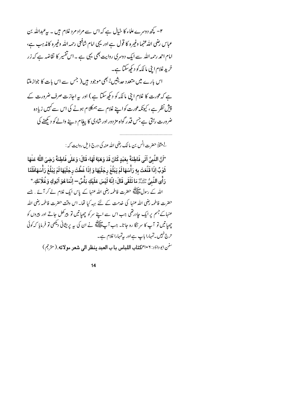۲– کچھ دوسرے علماء کا خیال ہے کہ اس سے مراد مرد غلام ہیں ۔ بیرعبداللہ بن عباس رضی الله عنہا وغیرہ کا قول ہے اور یہی امام شافعی رحمہ اللہ وغیرہ کامذہب ہے، امام احمد رحمہ اللہ سے ایک دوسری روایت بھی یہی ہے ۔ اس تفسیر کا تقاضہ ہے کہ زر خرید غلام اینی مالکه کو دیگھ سکتا ہے۔ اس بارے میں متعدد حدیثیں! بھی موجود ہیں( جس سے اس بات کا جوازماتا

ہے کہ عورت کا غلام ابنی مالکہ کو دیکھ سکتا ہے ) اور یہ اجازت صرف ضرورت کے پیش نظر ہے ، کیونکہ عورت کواپنے غلام سے ہمکلا م ہونے کی اس سے کہیں زیادہ ضرورت رہتی ہے جس قدر گواہ مزدور اور شادی کا پیغام دینے والے کو دیکھنے کی

<sup>لے م</sup>ثلاً حضرت ا<sup>نس</sup> بن مالک رضی الله عنه کی درج ذیل روایت که :

"اَنَّ النَّبِيَّ اَتَى فَاطِمَةَ بِعَبْدٍ كَانَ قَدْ وَهَبَهُ لَهَا، قَالَ: وَعَلٰى فَاطِمَةَ رَضِيَ اللَّهُ عَنْهَا ثَوْبٌ اِذَا قَنَّعَتْ بِهِ رَأْسَهَا لَمْ يَبْلُغْ رِجْلَيْهَا وَ اِذَا غَطَّتْ رِجْلَيْهَا لَمْ يَبْلُغْ رَأْسَهَافَلَمَّا رَأَى النَّبِيُّ ﷺ مَا تَلْقَى قَالَ: اِنَّهُ لَيْسَ عَلَيْكِ بَأْسٌ – اِنَّمَا هُوَ اَبُوكِ وَغُلَامُكِ." اللہ کے رسولﷺ حضرت فاطمہ رضی اللہ عنہا کے پاس ایک غلام لے کر آئے . جسے حضرت فاطمہ رضی اللہ عنہا کی خدمت کے لئے ہیہ کیا تھا۔ اس وقت حضرت فاطمہ رضی اللہ عنہائے جسم پر ایک حادرتھی جب اس سے اپنے سر کو چھپاتیں تو پیرکھل جاتے اور پیروں کو چھپاتیں تو آپ کا سرننگا رہ جاتا۔ جب آپ ﷺ نے ان کی یہ پریشانی دیکھی تو فرمایا کہ کوئی حرج نہیں۔تمہارا باپ ہے اور پیتمہارا غلام ہے۔ سنن ابودادَد: ٣٠١٦ كتاب اللباس باب العبد ينظر الى شعر مولاته ( مرَّجم)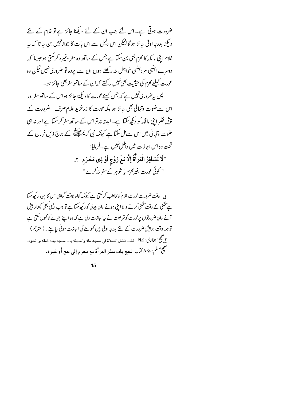ضرورت ہوتی ہے۔اس لئے جب ان کے لئے دیکھنا جائز ہے تو غلام کے لئے دیکھنا بدرجہ اولٰی جائز ہو گالیکن اس دلیل سے اس بات کا جوازنہیں بن جاتا کہ ہہ غلام اپنی مالکہ کا محرم بھی بن سکتا ہے جس کے ساتھ وہ سفر وغیرہ کرسکتی ہو جیسا کہ دوسرے اجنبی مرد جنسی خواہش نہ رکھتے ہوں ان سے یردہ تو ضروری نہیں لیکن وہ عورت کیلئے محرم کی حیثیت بھی نہیں رکھتے کہ ان کے ساتھ سفر بھی جائز ہو۔ پس پہ ضروری نہیں ہے کہ جس کیلئے عورت کا دیکھنا جائز ہواس کے ساتھ سفر اور اس سے خلوت وتنہائی بھی جائز ہو بلکہ عورت کا زرخر پر غلام صرف حنرورت کے پیش نظرا بی مالکہ کو دیکھ سکتا ہے۔ البتہ نہ تو اس کے ساتھ سفر کر سکتا ہے اور نہ ہی خلوت وتنہائی میں اس سے مل سکتا ہے کیونکہ نبی کریمﷺ کے درج ذیل فرمان کے تحت وہ اس اجازت میں داخل نہیں ہے۔فرمایا: "لَا تُسَافِرُ الْمَرْأَةُ لِلَّا مَعَ رَوْجِ اَوْ ذِىٰ مَحْرَمٍ. ۚ ێ " كوئى عورت بغيرمحرم يا شوہر كے سفر نہ كرے"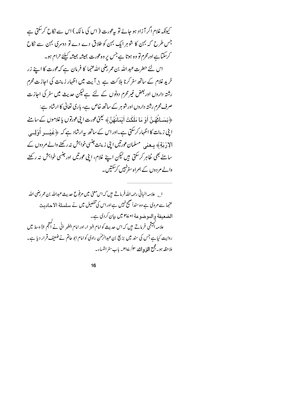کیونکہ غلام اگر آزاد ہو جائے تو بیڑورت ( اس کی مالکہ ) اس سے نکاح کر سکتی ہے جس طرح کہ بہن کا شوہر ایک بہن کو طلاق دے دے تو دوسری بہن سے نکاح کرسکتاہےاورمحرم تو وہ ہوتا ہے جس پر وہ عورت ہمیشہ ہمیشہ کیلئے حرام ہو۔ اس لئے حضرت عبد اللہ بن عمر رضی اللہ عنہما کا فرمان ہے کہ عورت کا اپنے زر خرید غلام کے ساتھ سفر کرنا ہلاکت ہے پی آیت میں اظہار زینت کی اجازت محرم رشتہ داروں اور بعض غیر محرم دونوں کے لئے ہے کیکن حدیث میں سفر کی اجازت صرف محرم رشتہ داروں اورشوہر کے ساتھ خاص ہے، باری تعالٰی کا ارشاد ہے: ﴿ نِسَاقُهُنَّ أَوْ مَا مَلَكَتْ أَيْمَانُهُنَّ﴾ لَيَمْ عورت ابْيِ عورتوں یا غلاموں کے سامنے ا بنی زینت کا اظہار کر کتی ہے۔اوراس کے ساتھ پیرارشاد ہے کہ ﴿غَیْبِ لِٱوْلِسِي الِا دْ بَةٍ﴾ يہ عنبی مسلمان عورتیں ابنی زینت جنسی خواہش نہ رکھنے والے مردوں کے سامنے بھی خاہر کر سکتی ہیں لیکن اپنے غلام، اپنی عورتیں اور جنسی خواہش نہ رکھنے والے مردوں کے ہمراہ سفرنہیں کرسکتیں۔

ا \_ علامہ البانی رحمہ اللہ فرماتے ہیں کہ اس معنی میں مرفوع حدیث عبداللہ بن عمر رضی اللہ عنہا سے مروی ہے وہ سنداً صحیح نہیں ہےاور اس کی تفصیل میں نے مدملسلة الا جہادیث الضعيفة والموضوعة ا•كلامي بإن كردى ہے۔ علامہ ابہتمی فرماتے ہیں کہ اس حدیث کو امام البز ار اور امام الطبر انی نے کمجم الأ وسط میں روایت کیا ہے جس کی سند میں بزیع بن عبدالرحمٰن راوی کو امام ابو حاتم نے ضعیف قرار دیا ہے۔ ملاحظه ہو۔مجمع **الذ و ای** یہ ۳۱ – ۲۱ – باب سفر النساء –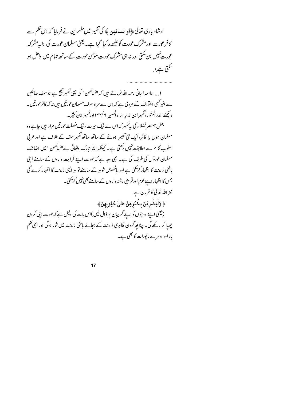ا \_ علامہ البانی رحمہ اللہ فرماتے ہیں کہ "نسأَصن" کی یہی تفسیر صحیح ہے جوسلف صالحین سے بغیر کسی اختلاف کے مروی ہے کہ اس سے مراد صرف مسلمان عورتیں ہیں نہ کہ کافرعورتیں۔ د نکھئے الدرالمثو ر،تفسیر ابن جربر ، زاد المسیر ۱۳۲/۶ اورتفسیر ابن کثیر۔ بعض ہمعصر فضلاء کی پی تفسیر کہ اس سے نیک سیرت ونیک خصلت عورتیں مراد ہیں جاہے وہ مسلمان ہوں یا کافر، ایک نئی تفیسر ہونے کے ساتھ ساتھ تفسیر سلف کے خلاف ہے اور عربی اسلوب کلام سے مطابقت نہیں رکھتی ہے۔ کیونکہ اللہ تبارک وتعالیٰ نے"نساٹھن "میں اضافت مسلمان عورتوں کی طرف کی ہے۔ یہی وجہ ہے کہ عورت اپنے قرابت داروں کے سامنے اپنی باطنی زینت کا اظہار کر سکتی ہے اور بالخصوص شوہر کے سامنے تو ہر ایپی زینت کا اظہار کرے گی ۔<br>جس کا اظہار اپنے محرم اورقریبی رشتہ داروں کے سامنے بھی نہیں کر سکتی۔ نیز اللہ تعالٰی کا فرمان ہے: ﴿ وَلْيَضْرِبْنَ بِخُمُرِهِنَّ عَلَىٰ جُيُوبِهِنَّ﴾ (یعنی اپنے دو پٹوں کواپنے گریبان پر ڈال لیں )اس بات کی دلیل ہے کہ عورت اپنی گردن چھپا کر رکھے گی۔ چنانچہ گردن ظاہری زینت کے بجائے باطنی زینت میں شار ہوگی اور یہی حکم ہاراور دوسرے زیورات کا بھی ہے۔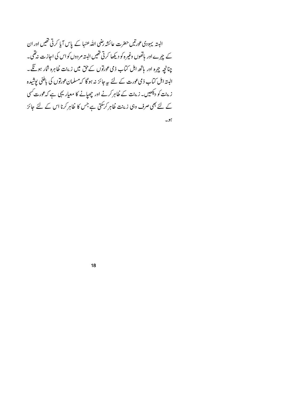البتہ یہودی عورتیں حضرت عائشہ رضی اللہ عنہا کے پاس آیا کرتی تھیں اور ان کے چہرے اور پاتھوں وغیرہ کو دیکھا کرتی تھیں البیتہ مردوں کواس کی اجازت نہ تھی۔ چنانچہ چہرہ اور ہاتھ اہل کتاب ذمی عورتوں کے حق میں زینت ظاہرہ شار ہو گئے۔ البتہ اہل کتاب ذمی عورت کے لئے پہ جائز نہ ہو گا کہ مسلمان عورتوں کی باطنی پوشیدہ زینت کو دیکھیں۔ زینت کے خلاہر کرنے اور چھپانے کا معیار یہی ہے کہ عورت کسی کے لئے بھی صرف وہی زینت ظاہر کر کتی ہے جس کا ظاہر کرنا اس کے لئے جائز

ہو۔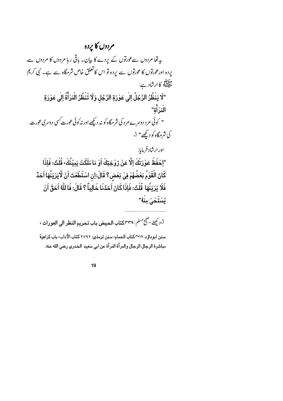### مردوں کا یردہ

پے تھا مردوں سے عورتوں کے یردے کا بیان۔ باقی رہا مردوں کا مردوں سے بردہ اورعورتوں کا عورتوں سے بردہ تو اس کا تعلق خاص شرمگاہ سے ہے۔ نبی کریم مثلاثة<br>عل<del>يض</del>ة كالرشاد ہے: "لَا يَنْظُرُ الرَّجُلُ اِلٰى عَوْرَةِ الرَّجُلِ وَلَا تَنْظُرُ الْمَرْأَةُ اِلٰى عَوْرَةِ الْمَرْأَة" " کوئی مرد دوسرے مرد کی شرمگاہ کو نہ دیکھے اور نہ کوئی عورت کسی دوسری عورت كى شرمگاه كو ديگھے" <sup>ل</sup> اور ارشاد فرمایا:

"اِحْفَظْ عَوْرَتَكَ إِلَّا عَنْ رَوْجَتِكَ اَوْ مَا مَلَكَتْ يَمِيْنُكَ، قُلْتُ: فَإِذَا كَانَ الْقَوْمُ بَعْضُهُمْ فِي بَعْضٍ؟ قَالَ:اِن اسْتَطَعْتَ اَنْ لَّا يَرَيَنَّهَا اَحَدٌ فَلَا يَرَيَنَّهَا قُلْتُ: فَإِذَا كَانَ اَحَدُنَا خَالِياً ؟ قَالَ: فَا للَّهُ اَحَقُ اَنْ يُسْتَحْيَ مِنْهُ"

لِهِ يَحِيَّ -صَحِّ مسلم: ٣٣٨ كتاب الحيض باب تحريم النظر الى العورات ، سنن ابوداؤد: ٢٠١٨ كتاب الحمام، سنن ترمذي: ٢٧٩٢ كتاب الأداب، باب كراهية مباشرة الرجال الرجال والمرأة المرأة عن ابي سعيد الخدري رضي الله عنه۔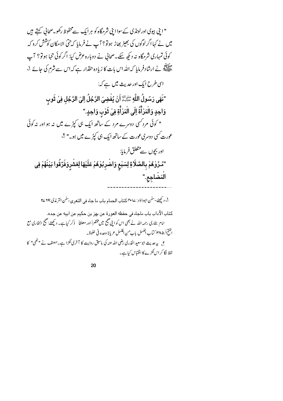" اپنی بیوی اورلونڈی کےسوا اپنی شرمگاہ کو ہر ایک سےمحفوظ رکھو۔صحالی کہتے ہیں میں نے کہا اگر لوگوں کی بھیڑ بھاڑ ہوتو؟ آپ نے فرمایا کہ حتیٰ الامکان کوشش کرو کہ کوئی تمہاری شرمگاہ نہ دیکھ سکے۔صحابی نے دوبارہ عرض کیا: اگر کوئی تنہا ہوتو؟ آپ ۔<br>علاق کے ارشاد فرمایا کہ اللہ اس بات کا زیادہ حقدار ہے کہ اس سے شرم کی جائے <sup>ل</sup> اسی طرح ایک اور حدیث میں ہے کہ: "نَهَى رَسُولُ اللَّهِ عَيْنَالِهُ أَنْ يُفْضِيَ الرَّجُلُ اِلِيَ الرَّجُلِ فِي ثَوبٍ وَاحِدٍ وَالْمَرْأَةُ إِلَى الْمَرْأَةِ فِىٰ ثَوْبٍ وَاحِدٍ-" " کوئی مرد کسی دوسرے مرد کے ساتھ ایک ہی کپڑے میں نہ ہو اور نہ کوئی عورت کسی دوسری عورت کے ساتھ ایک ہی کپڑے میں ہو۔" <sup>ہ</sup>ے اور بجوں سے متعلق فرمایا: "مُـرُوْهُمْ بِـالصَّلَاةِ لِسَبْعِ وَاضْرِبُوْهُمْ عَلَيْهَا لِعَشْرِوَفَرَّقُوا بَيْنَهُمْ فِى الْمَضَاجِعِ " <sup>1</sup> ديكھئے-سنن ابوداؤد: ١٤٣م كمتاب المصام بياب ما جياء في التعري بهنن الترندي:٢٤٦٩ كتاب الأداب باب ماجاء في حفظه العوارة عن بهزاين حكيم عن ابيه عن جده. امام بخاری رحمہ اللہ نے بھی اس کو این صبح میں مخضراً اور معلقاً ذکر کیاہے۔ دیکھئے:صبح البخاری مع الفتح|\ ٢٨٥ كتاب الغسل باب من اغتسل عربانا وحده في خلوة \_ ں ہے جدیث ابوسعید الخدری رضی اللہ عنہ کی ماسبق روایت کا آخری ٹکڑا ہے۔مصنف نے "ٹھی" کا لفظ لگا کر اس ٹکڑے کا اقتباس کیا ہے۔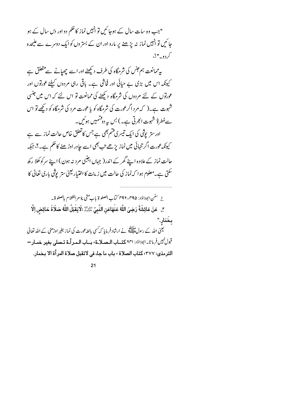"جب وہ سات سال کے ہوجا ئیں تو انہیں نماز کا حکم دو اور دس سال کے ہو جائنیں تو انہیں نماز نہ پڑھنے پر مارو اور ان کے بستر وں کو ایک دوسرے سے علیحدہ کر وو "ل

بیرممانعت ہم جنس کی شرمگاہ کی طرف دیکھنے اور اسے چھ<u>یا</u>نے سے متعلق ہے کیونکہ اس میں ہڑی بے حیائی اور فحاشی ہے۔ ہاقی رہی مردوں کیلئے عورتوں اور عورتوں کے لئے مردوں کی شرمگاہ دیکھنے کی ممانعت تو اس لئے کہ اس میں جنسی شہوت ہے۔( کہ مرد اگرعورت کی شرمگاہ کو یا عورت مرد کی شرمگاہ کو دیکھے تو اس سے فطرۂ شہوت انجرتی ہے۔) بس یہ دوشمیں ہوئیں۔ اور ستر پوشی کی ایک تیسری قسم بھی ہے جس کاتعلق خاص حالت نماز سے ہے کیونکہ عورت اگر تنہائی میں نماز پڑھے تب بھی اسے حادر اوڑ ھنے کاحکم ہے۔ <sup>7</sup>ی جبکہ حالت نماز کے علاوہ اپنے گھر کے اندر( جہاں اجنبی مرد نہ ہون) اپنے سر کوکھلا رکھ سکتی ہے۔معلوم ہوا کہ نماز کی حالت میں زینت کا اختیار یعنی ستر پوشی باری تعالیٰ کا

ا. سنن ابوداؤد: ۴۹۵، ۴۹۶ کتاب الصلو ة باب متى يؤمر الغلا م بالصلو ة \_ ِّلِ ۚ عَنْ عَائِشَةَ رَضِيَ اللَّهُ عَنْهَاعَنِ النَّبِيِّ ﷺ :لَا يَقْبَلُ اللَّهُ صَلَاةَ حَائِضِ اِلَّا بخمَار۔' یعنی اللہ کے رسولﷺ نے ارشاد فرمایا کہ *کس*ی با<sub>لغ</sub>رعورت کی نماز بغیر اوڑھنی کے اللہ تعالیٰ تبول نبيس فرماتا- ابوداوَد: ٢٣١ كتساب المصلاة، بساب المعراً في تتصلى بغير خمار -الترمذي: ٣٧٧، كتاب الصلاة ، باب ما جاء في لاتقبل صلاة المرأة الا بـخمار۔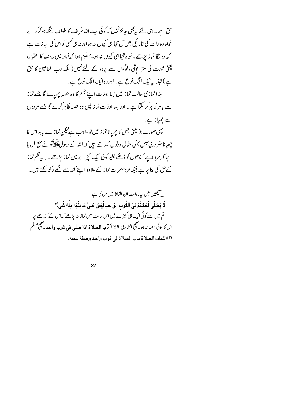حق ہے ۔اسی لئے یہ بھی جائز نہیں کہ کوئی بیت اللہ شریف کا طواف ننگے ہوکرکرے خواہ وہ رات کی تار کیی میں تن تنہا ہی کیوں نہ ہواورنہ ہی کسی کواس کی اجازت ہے کہ وہ ننگا نماز پڑھے۔خواہ تنہا ہی کیوں نہ ہو۔معلوم ہوا کہ نماز میں زینت کا اختیار، کیجنی عورت کی ستر پوشی، لوگوں سے یردہ کے لئے نہیں( بلکہ رب العالمین کا حق ہے ) لہٰذا پہ ایک الگ نوع ہے۔ اور وہ ایک الگ نوع ہے۔ لہٰذا نمازی حالت نماز میں بسا اوقات اپنے جسم کا وہ حصہ چھپائے گا جسے نماز سے باہر ظاہر کرسکتا ہے ۔اور بسا اوقات نماز میں وہ حصہ ظاہر کرے گا جسے مردوں سے چھپانا ہے۔ .<br>پہلی صورت:( یعنی جس کا چھپانا نماز میں تو واجب ہے کیکن نماز سے باہر اس کا چھپانا ضروری نہیں ) کی مثال دونوں کند ھے ہیں کہ اللہ کے رسولﷺ نے منع فرمایا ہے کہ مرد اپنے کندھوں کو ڈھکے بغیر کوئی ایک کپڑے میں نماز پڑھے یا پرچکم نماز کے حق کی بنا پر ہے جبکہ مرد حضرات نماز کے علاوہ اپنے کندھے ننگے رکھ سکتے ہیں۔ اتصحیحین میں <sub>س</sub>رروایت ان الفاظ میں مروی ہے:

"لَا يُصَلِّيْ اَحَدُكُمْ فِي الثَّوْبِ الْوَاحِدِ لَيْسَ عَلَىٰ عَاتِقَيْهِ مِنْهُ شَيٌّ" ۔<br>تم میں سے کوئی ایک ہی کپڑے میں اس حالت میں نماز نہ پڑھے کہ اس کے کندھے پر اس كا كوئي حصه نه ہو يہ صحيح ابخاري: ٣٥٩ كتاب **الصلاۃ اذا صلي في فو**ب واحد يہ صحيح مسلم ٥١٦ كتاب الصلاة باب الصلاة في ثوب واحد وصفة لبسه.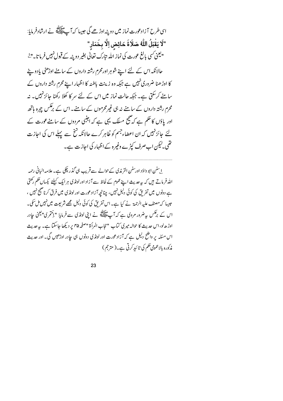اسی طرح آ زادعورت نماز میں دو پٹہ اوڑ ھے گی جیسا کہ آپ ایک نے اسٹادفرمایا: "لَا يَقْبَلُ اللَّهُ صَلَاةَ حَائِضٍ اِلَّا بِخَمَارِ" "لیجنی سی بالغ عورت کی نماز الله متبارک تعالی بغیر دو پٹہ کے قبول نہیں فرما تا۔"لے حالانکہ اس کے لئے اپنے شوہر اور محرم رشتہ داروں کے سامنے اوڑھنی یادو بیٹے کا اوڑھنا ضروری نہیں ہے جبکہ وہ زینت باطنہ کا اظہار اپنے محرم رشتہ داروں کے سامنے کرسکتی ہے۔ جبکہ حالت نماز میں اس کے لئے سر کا کھلا رکھنا جائز نہیں۔ نیر محرم رشتہ داروں کے سامنے نہ ہی غیرمحرموں کے سامنے۔اس کے برعکس چہرہ ہاتھ اور یاؤں کا حکم ہے کہ صحیح مسلک یہی ہے کہ اجنبی مردوں کے سامنے عورت کے لئے جائز نہیں کہ ان اعضاء جسم کو ظاہر کرے حالانکہ نشخ سے پہلے اس کی اجازت تھی لیکن اب صرف کپڑے وغیرہ کے اظہار کی اجازت ہے۔

ا سنن ابو داؤد اورسنن التر مذی کےحوالے سے قریب ہی گذر چکی ہے۔ علامہ البانی رحمہ اللہ فرماتے ہیں کہ بیہ عدیث اپنے عموم کے لحاظ سے آزاد اور لونڈ کی ہرایک کیلئے کیساں حکم رکھتی ہے دونوں میں تفریق کی کوئی دلیل نہیں، چنانچہ آزادعورت اور لونڈی میں فرق کرناصیج نہیں ، جبیہا کہ مصنف علیہ الرحمۃ نے کیا ہے۔ اس تفریق کی کوئی دلیل مجھے شریعت میں نہیں مل سکی۔ اس کے برعکس بیہ ضرور مروی ہے کہ آپ ﷺ نے اپنی لونڈی سے فرمایا: " اِختمر کی" یعنی جادر اوڑ ھ لو، اس حدیث کا حوالہ میری کیاب "حجاب المرأة "صفحہ ۴۵ پر دیکھا جاسکتا ہے۔ یہ حدیث اس مسئلہ یر واضح دلیل ہے کہ آ زادعورت اور لونڈی دونوں ہی جادر اوڑھیں گی۔ اور حدیث مذکورہ بالاعمومی حکم کی تائیدِ کرتی ہے۔( مترجم )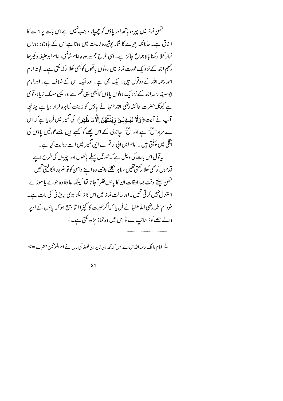لیکن نماز میں چہرہ، ہاتھ اور یاؤں کو چھپانا واجب نہیں ہے اس بات پر امت کا انفاق ہے۔ حالانکہ چہرے کا شار پوشیدہ زینت میں ہوتا ہے اس کے باوجود دوران نماز کھلا رکھنا بالا جماع جائز ہے۔اسی طرح جمہور علماء امام شافعی، امام ابوحنیفہ وغیرھا رحمہم اللہ کے نزد یک عورت نماز میں دونوں ہاتھوں کوبھی کھلا رکھ تکتی ہے۔البتہ امام احمہ رحمہ اللہ کے دوقول ہیں۔ ایک یہی ہے۔ اور ایک اس کے خلاف ہے۔ اور امام ابوحنیفہ رحمہ اللہ کے نز دیک دونوں یاؤں کا بھی یہی حکم ہے اور یہی مسلک زیادہ قو ی ہے کیونکہ حضرت عائشہ رضی اللہ عنہا نے پاؤں کو زینت ظاہرہ قرار دیا ہے چنانچہ آپ نے آیت﴿وَلَا یُبْلِیْنَ ذِیْنَتَهُنَّ إِلَّامَا ظَهَرٍ﴾ کی تفیر میں فرمایا ہے کہ اس سے مراد "متح" ہے اور "متح" حاندی کے اس چھلے کو کہتے ہیں جسے عورتیں یاؤں کی انگلی میں پہنی ہیں۔امام ابن انی حاتم نے اپنی تفسیر میں اسے روایت کیا ہے۔ پیقول اس بات کی دلیل ہے کہ عورتیں پہلے ہاتھوں اور چہروں کی طرح اپنے قدموں کوبھی کھلا رکھتی تھیں ، باہر نکلتے وقت وہ اپنے دامن کوتو ضرور اٹکا لیتی تھیں ليكن جلتے وقت بسا اوقات ان كا ياؤں نظرا ٓ جا تا تھا كيونكہ عادتاً وہ جوتے يا موز ے استعال نہیں کرتی تھیں۔اور حالت نماز میں اس کا ڈھکنا بڑی پریشانی کی بات ہے۔ خود ام سلمہ رضی اللہ عنہا نے فرمایا کہ اگر عورت کا کپڑا اتنا و پیج ہو کہ یاؤں کے اوپر والے <u>حصے کو ڈھانپ لے تو اس میں وہ نماز پڑھ</u> سکتی ہے۔<sup>ل</sup>

<sup>ل</sup>ے امام مالک رحمہ اللہ فرماتے ہیں کہ مجمہ بن زیدِ بن قنفذ کی ماں نے ام المومنین حضرت =>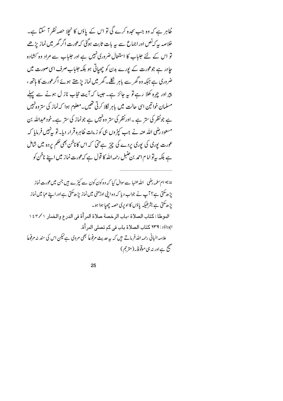ظاہر ہے کہ وہ جب سجدہ کرے گی تو اس کے پاؤں کا نجلا حصہ نظر آ سکتا ہے۔ خلاصہ سپرکہ نص اور اجماع سے ہیہ بات ثابت ہوگئی کہ عورت اگر گھر میں نماز پڑھے تو اس کے لئے جلباب کا استعال ضروری نہیں ہے اور جلباب سے مراد وہ کشادہ حادر ہے جوعورت کے یورے بدن کو چھپاتی ہو بلکہ جلباب صرف اسی صورت میں ضروری ہے جبکہ وہ گھر سے باہر نکلے۔گھر میں نماز بڑھتے ہوئے اگرعورت کا ہاتھ ، پیراور چہرہ کھلا رہے تو یہ جائز ہے۔ جیسا کہ آیت حجاب ناز ل ہونے سے پہلے مسلمان خواتین اسی حالت میں باہر نکلا کرتی تھیں۔معلوم ہوا کہ نماز کی ستر وہ نہیں ہے جونظر کی ستر ہے ۔اورنظر کی ستر وہ نہیں ہے جونماز کی ستر ہے۔خودعبداللہ بن مسعود رضی اللہ عنہ نے جب کپڑ وں ہی کو زینت ظاہرہ قرار دیا۔ تو بہ نہیں فرمایا کہ عورت پوری کی پوری پردے کی چیز ہےحتیٰ کہ اس کاناخن بھی حکم پردہ میں شامل ہے بلکہ پیرتو اما م احمد بن حنبل رحمہ اللہ کا قول ہے کہ عورت نماز میں اپنے ناخن کو

=> ام سلمہ رضی اللہ عنہا سے سوال کیا کہ وہ کون کون سے کپڑے ہیں جن میں عورت نماز پڑھ کتی ہے؟ آپ نے جواب دیا کہ وہ اپنی اوڑھنی میں نماز پڑھ کتی ہےاور اپنے عبا میں نماز پڑھ سکتی ہے بشرطیکہ یاؤں کا اوپری حصہ چھپا ہوا ہو۔ الموطأ : كتاب الصلاة ،باب الرخصة صلاة المرأة في الدرع والخمار ١٤٣/١ ابوراوَر: ٢٣٩ كتاب الصلاة باب في كم تصلى المر أة. علامہ البانی رحمہ اللہ فرماتے ہیں کہ یہ حدیث مرفوعاً بھی مروی ہےلیکن اس کی سند نہ مرفوعاً صحیح ہےاور نہ ہی موقوفاً۔( متر جم )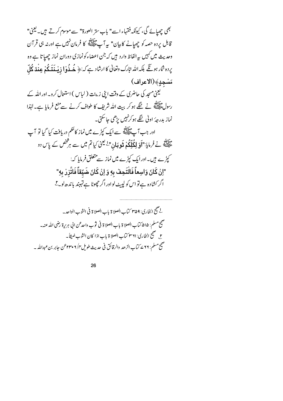بھی چھپائے گی، کیونکہ فقہاءاسے" باب ستر العورۃ" سے موسوم کرتے ہیں۔ یعنی" قابل پردہ حصہ کو چھپانے کابیان" پہ آپﷺ کا فرمان نہیں ہے اورنہ ہی قرآن وحدیث میں کہیں یہ الفاظ وارد ہیں کہ جن اعضاء کونمازی دوران نماز چھپاتا ہے وہ یردہ شار ہو گئے بلکہ اللہ تبارک وتعالٰی کا ارشاد ہے کہ:﴿ خُسْوَٰدْا ذِينَ يَتَعَـكُمْ عِنْلَهَ كُلّ مَسْجِدٍ﴾ (الاعراف) لیحیٰ مسجد کی حاضری کے وقت اپنی زینت ( لباس ) استعال کرو۔ اور اللہ کے رسول عليلة<br>رسول عليلية نے ننگے ہو کر بيت الله شريف کا طواف کرنے سے منع فرمايا ہے۔ لہٰذا نماز بدرجهُ اولیٰ ننگه ہوکرنہیں پڑھی جاسکتی۔ اور جب آپ ﷺ سے ایک کپڑے میں نماز کاحکم دریافت کیا گیا تو آپ ۔<br>علی ایکس نے فرمایا:"اَوَ لِکُلِّکُمْ فَودَبَانِ"<sup>ا</sup> یعنی کیا تم میں سے ہ<sup>فت</sup>خص کے پاس دو کیڑے ہیں۔اور ایک کپڑے میں نماز سے متعلق فرمایا کہ: "اِنْ كَانَ وَاسِعاً فَالْتَحِفْ بِهِ وَ اِنْ كَانَ ضَيّقاً فَاتَّزِرْ بِهِ" اگر کشادہ ہے تو اس کو لپیٹ لواور اگر چھوٹا ہے تہبند باندھ لوٹ

<sup>8</sup>هج ابخاري: ٣٥٩ كتاب الصلا ة باب الصلا ة في الثوب الواحد ـ صحيح مسلم: ١۵% تياب الصلا ة بإب الصلا ة في نثوب واحد عن ابي هربرة رضي الله عنه r صحيح البخاري: ٣٦١ كماب الصلا ة باب اذا كان الثوب ضيقاً \_ صحيح مسلم: ٧٦ ∠ كتاب الزهد والرقائق في حديث طويل ٢/ ٢٣٠٩عن جابر بن *عبد*الله -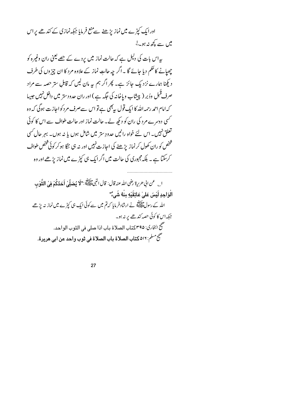اور ایک کپڑے میں نماز پڑھنے سے منع فرمایا جبکہ نمازی کے کندھے پر اس میں سے پیچ<sub>ھ</sub> نیہ ہونے

بیراس بات کی دلیل ہے کہ حالت نماز میں پردے کے <u>جصے لی</u>خی ران وغیرہ کو چھپانے کا حکم دیا جائے گا ۔ اگر چہ حالت نماز کے علاوہ مرد کا ان چیز وں کی طرف دیکھنا ہمارے نزد یک جائز ہے۔ پھر اگر ہم یہ مان لیں کہ قابلِ ستر حصہ سے مراد صرف قُبل ودُبر (پیشاب وباخانہ کی جگہ ہے ) اور ران حدود ستر میں داخل نہیں جیپا کہ امام احمد رحمہ اللہ کا ایک قول بہ بھی ہے تو اس سےصرف مرد کواجاز ت ہوگی کہ وہ ۔<br>سمی دوسرے مرد کی ران کو دیکھ لے۔ حالت نماز اور حالت طواف سے اس کا کوئی تعلق نہیں۔ اس لئے خواہ رانیں حدودِ ستر میں شامل ہوں یا نہ ہوں۔ بہر حال کسی ۔<br>شخص کو ران کھول کر نماز بڑھنے کی اجاز ت نہیں اور نہ ہی ننگا ہو کر کوئی شخص طواف کرسکتا ہے ۔ بلکہ مجبوری کی حالت میں اگر ایک ہی کپڑے میں نماز بڑھے اور وہ

ا عن اني حربية رضي الدُّعنه قال: قال النِّي اللَّهِ فِي اللَّهِ ." لَا يُصَلِّي أَحَدُكُمْ فِي **الثَّوْب** الْوَاجِدِ لَيْسَ عَلَىٰ عَاتِقَيْهِ مِنْهُ شَيْ ٌ" اللہ کے رسولﷺ نے ارشاد فرمایا کہ تم میں سے کوئی ایک ہی کپڑے میں نماز نہ بڑھے جبکہ اس کا کوئی حصہ کندھے پر نہ ہو۔ صحيح<br>النجاري: ٣٩٥ كتاب الصلاة باب اذا صلى في الثوب الواحد. صحِ سلم: ٥١٦ كتاب الصلاة باب الصلاة في ثوب واحد عن ابي هريرة۔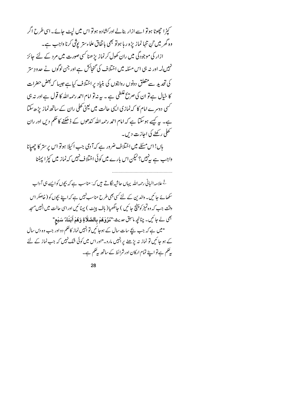کپڑا چھوٹا ہوتو اسے ازار بنالے اورکشادہ ہوتو اس میں لیٹ جائے۔اسی طرح اگر وہ گھر میں تنِ تنہا نماز پڑہ ر ہا ہوتو بھی باتفاق علماءستر پونٹی کرنا واجب ہے۔ ازار کی موجودگی میں ران کھول کرنماز پڑھنا کسی صورت میں مرد کے لئے جائز نہیں لحہ اور نہ ہی اس مسَلہ میں اختلاف کی گنجائش ہے اور جن لوگوں نے حدودِ ستر کی تحدید سے متعلق دونوں روایتوں کی بنیاد پر اختلاف کیاہے جیپا کہ بعض حضرات کا خیال ہےتو ان کی صریح غلطی ہے ۔ یہ نیہ تو امام احمد رحمہ اللہ کا قول ہے اور نہ ہی <sup>کس</sup>ی دوسرے امام کا کہ نمازی ا<sup>ل</sup>یی حالت میں یعنی کھلی ران کے ساتھ نماز بڑھ سکتا ہے۔ یہ کیسے ہوسکتا ہے کہ امام احمد رحمہ اللہ کندھوں کے ڈھکنے کا حکم دیں اور ران ۔<br>تھلی رکھنے کی اجازت دیں۔

ہاں! اس مسئلے میں اختلاف ضرور ہے کہ آ دمی جب اکیلا ہوتو اس پر ستر کا چھپانا واجب ہے بہ نہیں؟ لیکن اس بارے میں کوئی اختلاف نہیں کہ نماز میں کپڑا پہننا

<sup>لے</sup> علامہ البانی رحمہ اللہ یہاں حاشیہ لگاتے ہیں کہ: مناسب ہے کہ بچوں کواپسے ہی آ داب سکھائے جائیں۔ والدین کے لئے کسی بھی طرح مناسب نہیں ہے کہ اپنے بچوں کو (خاصکر اس وقت جب کہ وہ تمیز کو پنچ جا ئیں ) جانگھیا( باف پینٹ ) یہنا ئیں اور اسی حالت میں انہیں مسجد بِحِي لے جاسَمِيں۔ چنانچہ ماسِبق عدیث:"مُرُوْهُمْ بِالصَّلَاةِ وَهُمْ أَبْنَاءُ سَبْعٍ" "میں ہے کہ جب بیچے سات سال کے ہوجا ئیں تو انہیں نماز کاحکم دواور جب وہ دیں سال کے ہو جائیں تو نماز نہ پڑھنے پر انہیں مارو۔"اور اس میں کوئی شک نہیں کہ جب نماز کے لئے پڑھم ہےتو اپنے تمام ارکان اورشرائط کے ساتھ پڑھم ہے۔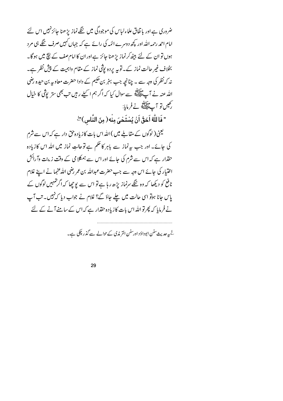ضروری ہے اور یا تفاق علماءلیاس کی موجودگی میں ننگے نماز پڑھنا جائزنہیں اس لئے امام احمد رحمہ اللہ اور کچھ دوسرے ائمّہ کی رائے ہے کہ جہاں کہیں صرف ننگے ہی مرد ہوں تو ان کے لئے بیٹھ کرنماز پڑھنا جائز ہےاور ان کا امام صف کے نیچ میں ہو گا۔ بخلاف غیر حالت نماز کے۔توبیہ پردہ ریثی نماز کے مقام واہمیت کے پیشِ نظر ہے۔ نہ کہ نظر کی دجہ سے ۔ چنانچہ جب بہز بن حکیم کے دادا حضرت معاویہ بن حیدہ رضی اللہ عنہ نے آپ اپنے سے سوال کیا کہ اگر ہم ا کیلے رہیں تب بھی ستر پوشی کا خیال ر<br>رحيس تو آے پيليج نے فرمایا:

" فَا للَّهُ آَحَقُ أَنْ يُسْتَحْيَ مِنْه ( مِنَ النَّاسِ) "

کیجن( لوگوں کے مقابلے میں ) اللہ اس بات کازیادہ حق دار ہے کہ اس سے شرم کی جائے۔ اور جب پیرنماز سے باہر کا حکم ہے توحالتِ نماز میں اللہ اس کازیادہ حقدار ہے کہ اس سے شرم کی جائے اور اس سے ہمکلا می کے وقت زینت وآ رائش اختیار کی جائے اس دجہ سے جب حضرت عبداللہ بن عمر رضی اللہ عنہما نے اپنے غلام نافع کو دیکھا کہ وہ ننگے سرنماز پڑھ رہا ہے تو اس سے یوچھا کہ اگر تہہیں لوگوں کے پاس جانا ہوتو اسی حالت میں چلے جاؤ گے؟ غلام نے جواب دیا کہ نہیں۔ تب آپ نے فرمایا کہ پھرتو اللہ اس بات کا زیادہ حقدار ہے کہ اس کے سامنے آنے کے لئے

لے یہ حدیث سنن ابوداؤد اورسنن التر مذی کے حوالے سے گذر چکی ہے۔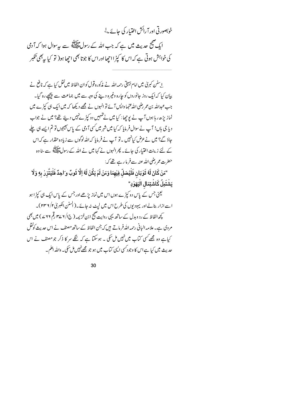## خوبصورتی اور آرائش اختیار کی جائے <sup>لے</sup>

ایک صحیح حدیث میں ہے کہ جب اللہ کے رسولﷺ سے بہ سوال ہوا کہ آ دمی کی خواہش ہوتی ہے کہ اس کا کپڑ ااتھا اور اس کا جوتا بھی اتھا ہو( تو کیا بہ بھی تکبر

لےسنن کبری میں امام پیبقی رحمہ اللہ نے مذکورہ قول کوان الفاظ میں نقل کیا ہے کہ نافع نے بیان کیا کہ ایک روز جانوروں کو جارہ وغیرہ دینے کی دجہ سے میں جماعت سے پیچھے رہ گیا۔ جب عبداللہ بن عمر رضی اللہ عنہما واپس آئے تو انہوں نے مجھے دیکھا کہ میں ایک ہی کپڑے میں نماز پڑھ ر ہا ہوں آپ نے یوچھا: کیا میں نے تنہمیں دو کپڑے نہیں دیئے تھے؟ میں نے جواب دیا جی ہاں! آپ نے سوال فرمایا کہ کیا میں شہر میں کسی آ دمی کے پاس جیجوں تو تم ایسے ہی چلے جاؤ گے؟ میں نے عرض کیانہیں ۔تو آپ نے فرمایا کہ اللہ لوگوں سے زیادہ حقدار ہے کہ اس کے لئے زینت اختیار کی جائے۔ پھرانہوں نے کہا میں نے اللہ کے رسولﷺ سے سنا وہ حضرت عمر رضي الله عنه سے فرما رہے تھے کہ:

"مَنْ كَانَ لَهُ ثَوْبَان فَلْيُصَلّ فِيْهِمَا وَمَنْ لَمْ يَكُنْ لَهُ اِلَّا ثَوبٌ واحِدٌ فَلْيَتَّزِرْ بهِ وَلَا يَشْتَمِلُ كَاشْتِمَال الْيَهَوْدِ"

لیحنی جس کے پاس دو کپڑے ہوں اس میں نماز پڑھے اور جس کے پاس ایک ہی کپڑا ہو اسے ازار بنالے اور یہود بوں کی طرح اس میں لیٹ نہ جائے۔( السنن الکبریٰ) ۲۳۶/۲)۔ کچھ الفاظ کے رد وبدل کے ساتھ یہی روایت صحیح ابن خزیمہ (ج۱/ ۲۷متر قم ۲۹ سے ) میں بھی مروی ہے۔علامہ البانی رحمہ اللہ فرماتے ہیں کہ جن الفاظ کے ساتھ مصنف نے اس حدیث کونقل کیاہے وہ مجھے کسی کتاب میں نہیں مل سکی ۔ ہوسکتا ہے کہ ننگے سر کا ذکر جو مصنف نے اس حدیث میں کیا ہے اس کا وجود کسی ایسی کتاب میں ہو جو مجھےنہیں مل سکی۔ واللہ اعلم۔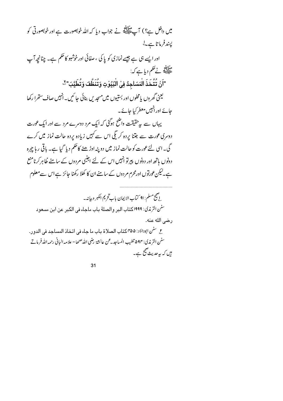| میں داخل ہے؟) آپﷺ نے جواب دیا کہ اللہ خوبصورت ہے اور خوبصورتی کو                                                                                                                                                                    |
|-------------------------------------------------------------------------------------------------------------------------------------------------------------------------------------------------------------------------------------|
| پښدفرماتا ہے <sup>لے</sup>                                                                                                                                                                                                          |
| اور ایسے ہی ہے جیسے نمازی کو پا کی ، صفائی اورخوشبو کا حکم ہے۔ چنانچہ آپ                                                                                                                                                            |
| صلالله<br>عليه في سلم من الله عليه عليه السلم من السلم السلم السلم السلم السلم السلم السلم السلم السلم السلم السلم<br>مسلم السلم السلم السلم السلم السلم السلم السلم السلم السلم السلم السلم السلم السلم السلم السلم السلم السلم ال |
| "اَنْ تُتَّخَذَ الْمَسَاجِدُ فِىٰ الْبُيُوْتِ وَتُنَظَّفَ وَتُطَيَّبَ" <sup>7</sup>                                                                                                                                                 |
| یعنی گھروں یامحلوں اور بستیوں میں مسجد یں بنائی جائیں۔انہیں صاف ستھرا رکھا                                                                                                                                                          |
| جائے اور انہیں معطر کیا جائے۔                                                                                                                                                                                                       |
| یہاں سے بی <sup>حقیق</sup> ت واضح ہوگٹی کہ ایک مرد دوسرے مرد سے اور ایک عورت                                                                                                                                                        |
| دوسری عورت سے جتنا پردہ کر گیگی اس سے کہیں زیادہ پردہ حالت نماز میں کرے                                                                                                                                                             |
| گ ۔ اسی لئے عورت کو حالت نماز میں دو پٹہ اوڑ ھنے کا حکم دیا گیا ہے۔ باقی رہا چہرہ                                                                                                                                                   |
| دونوں ہاتھ اور دونوں پیرتو انہیں اس کے لئے اجنبی مردوں کے سامنے ظاہر کرنامنع                                                                                                                                                        |
| ہے۔کیکن عورتوں اورمحرم مردوں کے سامنے ان کا کھلا رکھنا جائز ہے اس سے معلوم                                                                                                                                                          |
|                                                                                                                                                                                                                                     |
| ل صحيح مسلم: 91 كتاب الايمان باب تحريم الكبر وبيانه ـ                                                                                                                                                                               |
| <i>سنن الرّ نمرٌ)</i> : ١٩٩٩كتاب البر والصلة باب ماجاء في الكبر عن ابن مسعود                                                                                                                                                        |
| رضى الله عنه۔                                                                                                                                                                                                                       |
| ع للمسلح الله عنه المسلم المسلاة باب ما جاء في اتخاذ المساجد في الدور ـ                                                                                                                                                             |
| سنن التر مذى: ٩٩٣ تطيب المساجد عن عائشة رضى الله عنهما – علامه البانى رحمه الله فرماتے                                                                                                                                              |
| <del>ہی</del> ں کہ بیہ حدیث صحیح ہے۔                                                                                                                                                                                                |
| 31                                                                                                                                                                                                                                  |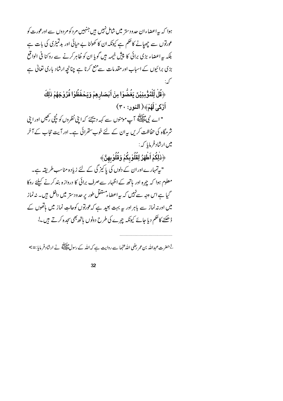ہوا کہ یہ اعضاءان حدود ستر میں شامل نہیں ہیں جنہیں مردکو مردوں سے اورعورت کو عورتوں سے چھپانے کا حکم ہے کیونکہ ان کا کھولنا بے حیائی اور بدتمیزی کی بات ہے بلکہ یہ اعضاء بڑی برائی کا پیش خیمہ ہیں گویا ان کو ظاہر کرنے سے روکنا فی الواقع بڑی برائیوں کے اسباب اور مقدمات سے منع کرنا ہے چنانچہ ارشاد باری تعالیٰ ہے ﴿قُلْ لِّلْمُؤْمِنِيْنَ يَغُضُّوْا مِنْ اَبْصَارِهِمْ وَيَحْفَظُوْا فُرُوْجَهُمْ ذٰلِكَ أَزْكَىٰ لَهُمْ﴾ (النور: ٣٠) " اے نبی عالقہ ہے۔<br>" اے نبی علیہ ایپ مومنوں سے کہہ دیجئے کہ اپنی نظروں کو نیچی رکھیں اور اپنی شرمگاہ کی حفاظت کریں ہےان کے لئے خوب ستھرائی ہے۔اور آیت حجاب کے آخر میں ارشادفر مایا کہ : ﴿ذٰلِكُمْ اَطْهَرُ لِقُلُوْبِكُمْ وَقُلُوْبِهِنَّ﴾ "بیرتمہارے اور ان کے دلوں کی پاکیز گی کے لئے زیادہ مناسب طریقہ ہے۔ معلوم ہوا کہ چہرہ اور ہاتھ کے اظہار سےصرف برائی کا دروازہ بند کرنے کیلئے روکا گیا ہے اس دجہ سے نہیں کہ پیراعضاءمستقل طور پر حدود ستر میں داخل ہیں۔ نہ نماز میں اور نہ نماز سے باہر اور ہہ بہت بعید ہے کہ عورتوں کوحالتِ نماز میں ہاتھوں کے ڈھکنے کاحکم دیا جائے کیونکہ چہرے کی طرح دونوں ہاتھ بھی سجدہ کرتے ہیں <sup>لے</sup>

<sup>لے ح</sup>ضرت عبداللہ بن عمر رضی اللہ عنہما سے روایت ہے کہ اللہ کے رسولﷺ نے ارشاد فرمایا: =>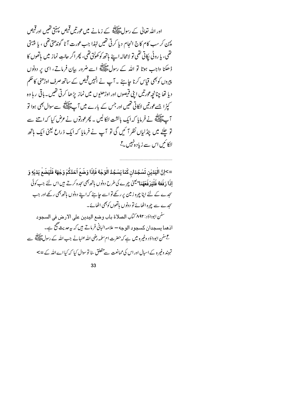اور اللہ تعالیٰ کے رسول ﷺ کے زمانے میں عورتیں قمیص پہنتی تھیں اور قمیص پہن کر سب کام کاج انجام دیا کرتی تھیں لہٰذا جب عورت آٹا گوندھتی تھی ، یا پیسی ّ تھی، یا روٹی پکاتی تھی تو لامحالہ اپنے ہاتھ کوکھولتی تھی، پھر اگر حالت نماز میں ہاتھوں کا ڈھکنا واجب ہوتا تو اللہ کے رسولﷺ اسے ضرور بیان فرماتے، اسی یر دونوں پیروں کو بھی قیاس کرنا جاہئے ۔آپ نے انہیں قمیص کے ساتھ صرف اوڑھنی کا حکم دیا تھا چنانچہ عورتیں اپنی قمیصوں اور اوڑھنیوں میں نماز پڑھا کرتی تھیں۔پاقی رہا وہ کیڑ ا جسےعورتیں اٹکاتی تھیں اور جس کے بارے میں آ جاپ<del>سا</del>تھ سے سوال بھی ہوا تو آپﷺ نے فرمایا کہ ایک بالشت لڑکا لیں ۔ پھرعورتوں نے عرض کیا کہ اتنے سے تو چلنے میں پیڈلیاں نظر آئیں گی تو آپ نے فرمایا کہ ایک ذراع کیجنی ایک ہاتھ لٹکا نمیں اس سے زیادہ نہیں گے

=>اِنَّ الْيَدَيْنِ تَسْجُدَان كَمَا يَسْجُدُ الْوَجْهُ فَإِذَا وَضَعَ اَحَدُكُمْ وَجْهَهُ فَلْيَضَعْ يَدَيْهِ وَ إِذَا دَ فَعَهُ فَلْيَدْ فَعُهُمَا" يعني چِرے کی طرح دونوں ہاتھ بھی سجدہ کرتے ہیں اس لئے جب کوئی سجدے کے لئے اپنا چہرہ زمین پر رکھے تو اسے جاہئے کہ اپنے دونوں ہاتھ بھی رکھے اور جب سجدے سے چہرہ اٹھائے تو دونوں ہاتھوں کوبھی اٹھائے۔ سنن ابوراوَر: ٨٩٢ / آب الصلاة باب وضع اليدين على الارض في السجود اذهما پسجدان کسجود الوجه – علامہالبانی فرماتے ہیں *کہ بہ عدیث صحیح ہے۔* ۔<br>کےسنن ابوداؤد وغیرہ میں ہے کہ حضرت ام سلمہ رضی اللہ عنہانے جب اللہ کے رسولﷺ سے تہبند وغیرہ کے اسمال اور اس کی ممانعت سے متعلق سنا توسوال کیا کہ کیا اے اللہ کے =>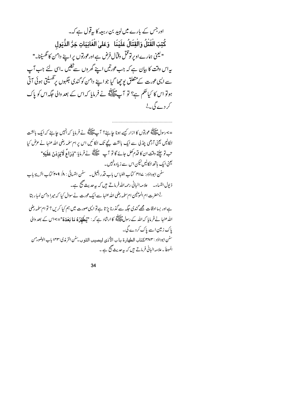اور جس کے بارے میں لیپد بن رہیعہ کا پیقول ہے کہ۔ كُتِبَ الْقَتْلُ وَالْقِتَالُ عَلَيْنَا ۚ وَعَلىٰ الْغَانِيَاتِ جَرُّ الذَّيَولِ " لیجنی ہمارے اوپرتو قتل وقبال فرض ہے اورعورتوں پر اپنے دامن کا گھسٹینا۔" یہ اس وقت کا بیان ہے کہ جب عورتیں اپنے گھروں سے نکلیں ۔اسی لئے جب آپ سے ایسی عورت کے متعلق یو چھا گیا جو اپنے دامن کو گندی جگہوں برگھسٹتی ہوئی آتی ہوتو اس کا کیاحکم ہے؟ تو آپﷺ نے فرمایا کہ اس کے بعد والی جگہ اس کو پاک کر دے گی لے

=>رسولﷺ عورتوں کا ازار کیسے ہونا جاہئے؟ آپﷺ نے فرمایا کہ انہیں جاہئے کہ ایک بالشت اٹکالیں یعنی آدھی پیڈلی سے ایک بالشت یعجے تک اٹکائیں اس پر ام سلمہ رضی اللہ عنہا نے عرض کیا تب تو چلتے وقت ان کا قدم کھل جائے گا تو آپ عطیلاً نے فرمایا: "ذِدَاءٌ لاَ يَذِدْنَ عَلَيْهِ" <u>یعنی ایک پاتھ اٹ</u>کالیں کیکن اس سے زیادہ نہیں۔ سنن ابوداؤد: ٢١١٢ كتاب اللباس باب قدر الليل \_ سنن النسائي : ٨/ ٢٠٩ كتاب الزيبغة باب ذیول النساء۔ علامہ البانی رحمہ اللہ فرماتے ہیں کہ بیرعدیث صحیح ہے۔ <sup>لے ح</sup>ضرت ام المومنین ام سلمہ رضی اللہ عنہا سے ایک <sub>گ</sub>ورت نے سوال کیا کہ میرا دامن لمبا رہتا ہے اور بسا اوقات مجھے گندی جگہ سے گذرنا پڑتا ہے تو ایپی صورت میں ہم کیا کریں؟ تو ام سلمہ رضی اللہ عنہا نے فرمایا کہ اللہ کے رسولﷺ کا ارشاد ہے کہ: "یُعلَّقْدُهُ مَا بَعْدَهُ"=>اس کے بعد والی یاک زمین اسے پاک کردے گی۔ سنن ابوداؤد : ٣٨٣ كتاب المطهارة بياب الأذي ليصيب الثوب سِنن الترندي:١٢٣ باب الوضوء من الموطأ به علامہ البانی فرماتے ہیں کہ بیہ حدیث صحیح ہے ۔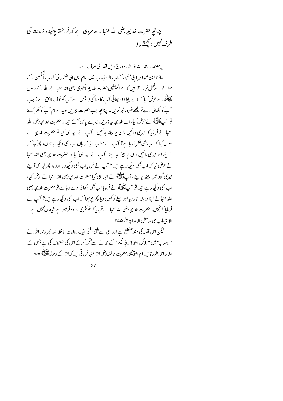<u>ا</u> مصنف رحمہ اللہ کا اشارہ درج ذیل قصہ کی طرف ہے۔

حافظ ابن عبدالبر اپنی مشہور کتاب الاستیعاب میں امام ابن الی خیثمہ کی کتاب المکیمین کے حوالے سےنقل فرماتے ہیں کہ ام الموثنین حضرت خدیجہ الکبری رضی اللہ عنہا نے اللہ کے رسول ۔<br>علاقے سے عرض کیا کہ اے چچا زاد بھائی آپ کا ساتھی( جس سے آپ کوخوف لاحق ہے ) جب آپ کو دکھائی دے تو مجھےضرورخبر کریں۔ چنانچہ جب حضرت جبریل علیہ السلام آپ کونظر آئے تو آپﷺ نے عرض کیا، اے خدیجہ ہیے جبریل میرے پاس آئے ہیں۔حضرت خدیجہ رضی اللہ عنہا نے فرمایا کہ میری دائمیں ران پر بیٹھ جائمیں ۔ آپ نے ایبا ہی کیا تو حضرت خدیجہ نے سوال کیا کہ اب بھی نظر آر ہا ہے؟ آپ نے جواب دیا کہ ہاں اب بھی دیکھ ر ہا ہوں، پھر کہا کہ آیئے اور میری بائنیں ران پر بیٹھ جائے۔آپ نے ایہا ہی کیا تو حضرت خدیجہ رضی اللہ عنہا نے عرض کیا کہ اب بھی دیکھ رہے ہیں ؟ آپ نے فرمایااب بھی دیکھ رہا ہوں، پھر کہا کہ آ پئے میری گودییں بیٹھ جائے، آے ﷺ نے ایپا ہی کیا حضرت خدیجہ رضی اللہ عنہا نے عرض کیا، اب بھی دیکھ رہے ہیں تو آپ ﷺ نے فرمایا اب بھی دکھائی دے رہا ہے تو حضرت خدیجہ رضی الله عنہانے اپنا دو پٹہ اتار دیا اور سنے کوکھول دیا پھر پوچھا کہ اب بھی دیکھ رہے ہیں؟ آپ نے فرمایا کہ نہیں۔حضرت خدیجہ رضی اللہ عنہا نے فرمایا کہ خوشخبری ہو وہ فرشتہ ہے شیطان نہیں ہے ۔ الاستبعاب على حامش الإصابة ٢٧ ۵ ٢٤

لیکن اس قصہ کی سندمنقطع ہے اور اسی سے ملتی جلتی ایک روایت حافظ ابن حجر رحمہ اللہ نے "الإصابہ" میں "دلاَئل النبو ۃ لانی نعیم" کےحوالے سےنقل کرکے اس کی تضعیف کی ہے جس کے الفاظ اس طرح ہیں ام الموننین حضرت عائشہ رضی اللہ عنہا فرماتی ہیں کہ اللہ کے رسول ﷺ =>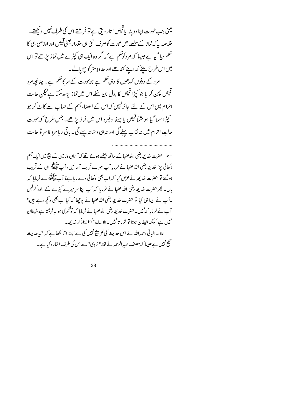یعنی جب *عور*ت اپنا دو پٹہ یا قمیص اتار دیتی ہے تو فرشتے اس کی طرف نہیں دیکھتے۔ خلاصہ یہ کہ نماز کےسلسلے میں عورت کوصرف اتنی ہی مقدار کیجنی *قیص* اور اوڑھنی ہی کا حکم دیا گیا ہے جیپا کہ مرد کوحکم ہے کہ اگر وہ ایک ہی کپڑے میں نماز پڑھے تو اس میں اس طرح لیٹے کہ اپنے کندھے اور حدودِ ستر کو چھپالے۔ مرد کے دونوں کندھوں کا وہی حکم ہے جوعورت کے سر کاحکم ہے۔ چنانچہ مرد قبیص پہن کر یا جو کپڑا قبیص کا بدل بن سکے اس میں نماز پڑھ سکتا ہے کیکن حالت احرام میں اس کے لئے جائز نہیں کہ اس کے اعضاء جسم کے حساب سے کاٹے کر جو کیڑا سلا گیا ہو مثلاً قمیص یا چوغہ وغیرہ اس میں نماز پڑھے۔جس طرح کہ عورت حالتِ احرام میں نہ نقاب پہنے گی اور نہ ہی دستانہ پہنے گی۔ باقی رہا مرد کا سرتو حالت

=> حضرت خدیجہ رضی اللہ عنہا کے ساتھ بیٹھے ہوئے تھے کہ آ سان وزمین کے نیچ میں ایک جسم دکھائی پڑا خدیجہ رضی اللہ عنہا نے فرمایا آپ میرے قریب آجائیں، آپ ﷺ ان کے قریب ہو گئے تو حضرت خدیجہ نے عرض کیا کہ اب بھی دکھائی دے رہا ہے؟ آپ ﷺ نے فرمایا کہ ہاں۔ پھر حضرت خدیجہ رضی اللہ عنہا نے فرمایا کہ آپ اپنا سر میرے کپڑے کے اندر کرلیں ۔آپ نے اپیا ہی کیا تو حضرت خدیجہ رضی اللہ عنہا نے یوچھا کہ کیا اب بھی دیکھ رہے ہیں؟ آپ نے فرمایا کہ نہیں۔حضرت خدیجہ رضی اللہ عنہا نے فرمایا کہ خوشخبری ہو پہ فرشتہ ہے شیطان نہیں ہے کیونکہ شیطان ہوتا تو شرما تانہیں۔الاصابۃ <sub>1</sub>/س ۲۷ ذکر خدیجہ۔ علامہ البانی رحمہ اللہ نے اس حدیث کی تخ پیج نہیں کی ہے البتہ اتنا لکھا ہے کہ "بیرحدیث صحیح نہیں ہے جیپیا کہ مصنف علیہ الرحمہ نے لفظ" رُوِی" سے اس کی طرف اشارہ کیا ہے۔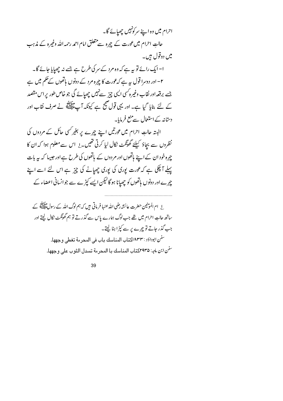احرام میں وہ اپنے سرکونہیں چھپائے گا۔ حالتِ احرام میں عورت کے چہرہ سے متعلق امام احمد رحمہ اللہ وغیرہ کے مذہب میں دوقول ہیں۔ ا- ایک رائے تو یہ ہے کہ وہ مرد کے سر کی طرح ہے جسے نہ چھپایا جائے گا۔ ۲– اور دوسرا قول ہے ہے کہ عورت کا چہرہ مرد کے دونوں ہاتھوں کے حکم میں ہے جسے برقعہ اور نقاب وغیرہ کسی ایسی چیز سےنہیں چھپائے گی جو خاص طور پراس مقصد کے لئے بنایا گیا ہے۔ اور یہی قول صحیح ہے کیونکہ آپ ایقا کے سرف نقاب اور دستانہ کے استعال سے منع فرمایا۔ البتہ حالتِ احرام میں عورتیں اپنے چہرے یر بغیر کسی حائل کے مردوں کی نظروں سے بحاؤ کیلئے گھونگٹ نکال لیا کرتی تھیں۔ یہ اس سے معلوم ہوا کہ ان کا چہرہ خود ان کے اپنے ماتھوں اور مردوں کے ماتھوں کی طرح ہے اور جیپیا کہ یہ بات پہلے آ چکی ہے کہ عورت یوری کی یوری چھپانے کی چیز ہے اس لئے اسے اپنے چہرے اور دونوں ہاتھوں کو چھپانا ہو گالیکن ایسے کپڑے سے جو انسانی اعضاء کے ساتھ حالتِ احرام میں تھے جب لوگ ہمارے پاس سے گذرتے تو ہم گھونگٹ نکال لیتے اور جب گذر جاتے تو چہرے پر سے کپڑا ہٹا لیتے۔ سنن ابوراوَر : ٨٣٣]كتاب المناسك باب في المحرمة تغطي وجهها. <sup>سنر</sup>ن *ابن ماج*: ۲۹۳۵کتاب المناسك با المحرمة تسدل الثوب على وجهها۔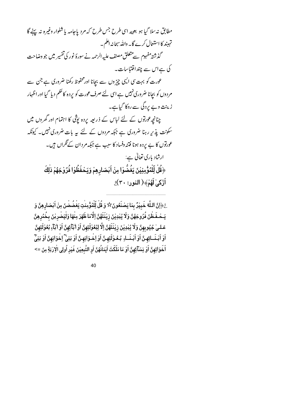مطابق نه سلا گیا ہو بعینہ اسی طرح جس طرح که مرد پاجامہ پا شلوار وغیرہ نہ پہنے گا تہبند کا استعمال کرے گا۔ واللہ سبحانہ اعلم۔ گذشتہ مفہوم سے متعلق مصنف علیہ الرحمہ نے سورۂ نور کی تفسیر میں جو وضاحت کی ہےاس سے چنداقتباسات۔ عورت کو بہت سی ایسی چیزوں سے بجانا اور محفوظ رکھنا ضروری ہے جن سے مردوں کو بچانا ضروری نہیں ہے اسی لئے صرف عورت کو یردہ کا حکم دیا گیا اور اظہار زینت وپے بردگی سے روکا گیاہے۔ چنانچہ عورتوں کے لئے لباس کے ذریعہ یردہ یوثی کا اہتمام اور گھروں میں سکونت پذیر رہنا ضروری ہے جبکہ مردوں کے لئے یہ بات ضروری نہیں۔ کیونکہ عورتوں کا بے پردہ ہونا فتنہ وفساد کا سبب ہے جبکہ مرد ان کے ٹکراں ہیں۔ ارشاد باری تعالی ہے: ﴿قُلْ لِّلْمُؤْمِنِيْنَ يَغُضُّوْا مِنْ اَبْصَارِهِمْ وَيَحْفَظُوْا فُرُوْجَهُمْ ذٰلِكَ آَرْكِيٰ لَهُمْ﴾ (النور: ٣٠) ل

لِ﴿اِنَّ اللَّهَ خَبِيْرٌ بِمَا يَصْنَعُونَ $\forall$  وَ قُلْ لِّلْمُؤْمِنٰتِ يَغْضُضْنَ مِنْ اَبْصَارِهِنَّ وَ يَـحْـ فَـظْنَ فُرُوجَهُنَّ وَلَا يُبْدِيْنَ زِيْنَتَهُنَّ اِلَّامَا ظَهَرَ مِنْهَا وَلْيَضْرِبْنَ بِخُمُرِهِنّ عَـلـِي جُيُوبِهِنَّ وَلَا يُبْدِيْنَ زِيْنَتَهُنَّ اِلَّا لِبُعُوْلَتِهِنَّ اَوْ اٰبَآئِهِنَّ اَوْ اٰبَآءِ بُعُوْلَتِهِنَّ اَوْ اَبْنَــائِهِنَّ اَوْ اَبْنَــاءِ بُـعُـوْلَتِهِنَّ اَوْ اِخْـوَانِهِنَّ اَوْ بَنِيٌّ اِخْوَانِهِنَّ اَوْ بَنِيّ اَخَوَاتِهِنَّ اَوْ نِسَآئِهِنَّ اَوْ مَا مَلَكَتْ اَيْمَانُهُنَّ اَوِ التَّبِعِيْنَ غَيْرِ اُولِي الْإِرْبَةِ مِنَ =>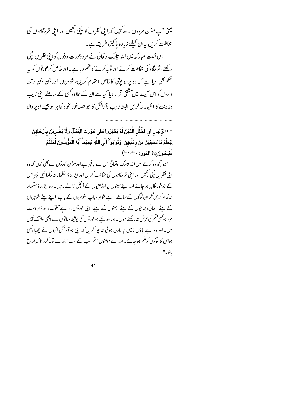یعنی آپ مومن مردوں سے کہیں کہ اپنی نظروں کو نیچی رکھیں اور اپنی شرمگاہوں کی حفاظت کریں بیران کیلئے زیادہ پا کیزہ طریقہ ہے۔

اس آیتِ مبارکہ میں اللہ تبارک وتعالیٰ نے مرد وعورت دونوں کواپنی نظریں نیچی رکھنے، شرمگاہ کی حفاظت کرنے اور تو بہ کرنے کا حکم دیا ہے۔ اور خاص کرعورتوں کو بیہ حکم بھی دیا ہے کہ وہ یردہ یوثی کاخاص اہتمام کریں، شوہروں اور جن جن رشتہ داروں کو اس آیت میں مشتنیٰ قرار دیا گیا ہے ان کے علاوہ کسی کے سامنے اپنی زیب وزينت كا اظہار نہ كريں البتہ زيب وآرائش كا جو حصہ خود بخو د ظاہر ہو جيسے اوپر والا

=>الرّجَال أو الطِّفْل الَّذِيْنَ لَمْ يَظْهَرُوا عَلىٰ عَوْرِٰتِ النِّسَآءِ وَلَا يَضْرِبْنَ بِأَرْجُلِهِنَّ لِيُعْلَمَ مَا يُخْفِيْنَ مِنْ زِيْنَتِهِنَّ ۚ وَتُوبُوآ اِلَى اللَّهِ جَمِيْعاً اَيُّهَ الْمُؤْمِنُونَ لَعَلَّكُمْ تَفْلِحُونَ﴾(النور: ٣١،٣٠) "جو <u>پچھ وہ کرتے ہیں اللہ بتارک</u> وتعالیٰ اس سے پاخبر ہے اور مومن عورتوں سے بھی کہیں کہ وہ ا بنی نظر بن نیچی رحیس اور ابنی شرمگاہوں کی حفاظت کر س اور اپنا بناؤ سنگھار نہ دکھلا ئیں بجز اس کے جوخود ظاہر ہو جائے اور اپنے سینوں پر اوڑھنیوں کے آنچل ڈالے رہیں۔ وہ اپنا بناؤ سنگھار نہ ظاہر کریں گر ان لوگوں کے سامنے : اپنے شوہر ، باپ،شوہروں کے باپ، اپنے بیٹے،شوہروں کے بیٹے، بھائی، بھائیوں کے بیٹے، بہنوں کے بیٹے، ابنی عورتوں، ، اپنے مملوک، وہ زیرِ دست مرد جوسی قسم کی غرض نہ رکھتے ہوں۔اور وہ بیچے جوعورتوں کی پوشیدہ باتوں سے ابھی واقف نہیں

ہیں۔ اور وہ اپنے پاؤں زمین پر مارتی ہوئی نہ چلا کریں کہ اپنی جو آ رائش انہوں نے چھپا رکھی ہواس کا لوگوں کوعلم ہو جائے۔ اور اے مومنوں! تم سب کے سب اللہ سے تو بہ کرو تا کہ فلاح ياؤ-"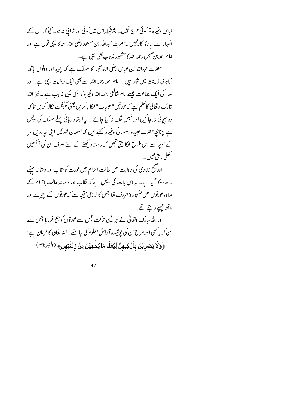لیاس وغیرہ تو کوئی حرج نہیں۔ بشرطیکہ اس میں کوئی اورخرانی نہ ہو۔ کیونکہ اس کے اظہار سے جارۂ کارنہیں ۔حضرت عبداللہ بن مسعود رضی اللہ عنہ کا یہی قول ہے اور امام احمد بن حنبل رحمہ اللہ کامشہور مذہب بھی یہی ہے۔

حضرت عبداللہ بن عباس رضی اللہ عنہما کا مسلک ہے کہ چہرہ اور دونوں ہاتھ خاہری زینت میں شار ہیں ۔ امام احمد رحمہ اللہ سے بھی ایک روایت یہی ہے۔ اور علماء کی ایک جماعت جیسے امام شافعی رحمہ اللہ وغیرہ کا بھی یہی مذہب ہے ۔ نیز اللہ ىتارك وتعالىٰ كاحكم ہے كہ عورتيں" حلياب" لڑكا پاكر <sup>س ليع</sup>نى گھوتكٹ نكالا كر <sup>س</sup> تا كہ وہ پہچانی نہ جائیں اور انہیں تنگ نہ کیا جائے ۔ یہ ارشاد ربانی پہلے مسلک کی دلیل ہے چنانچہ حضرت عبیدہ السلمانی وغیرہ کہتے ہیں کہ مسلمان عورتیں اپنی جادریں سر کے اوپر سے اس طرح ایکا لیتی تھیں کہ راستہ دیکھنے کے لئے صرف ان کی آنکھیں ۔<br>تھلی رہتی تھیں۔

اور صحیح بخاری کی روایت میں حالت احرام میں عورت کو نقاب اور دستانہ پہننے سے روکا گیا ہے۔ یہ اس بات کی دلیل ہے کہ نقاب اور دستانہ حالت ِاحرام کے علاوہ عورتوں میں مشہور ومعروف تھا جس کا لازمی نتیجہ ہے کہ عورتوں کے چہرے اور ہاتھ <u>جھ</u>یے رہتے تھے۔

اور اللہ تارک وتعالٰی نے ہر ایسی حرکت ڈنمل سے عورتوں کومنع فرمایا جس سے سن کر پاکسی اورطرح ان کی یوشیدہ آ رائش معلوم کی جا سکے۔اللہ تعالٰی کا فرمان ہے: ﴿وَلَا يَضْرِبْنَ بِاَرْجُلِهِنَّ لِيُعْلَمَ مَا يُخْفِيْنَ مِنْ زِيْنَتِهِنِّ ﴾ (الزر:٣١)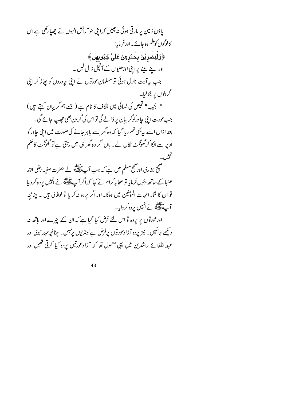یاؤں زمین پر مارتی ہوئی نہ چلیں کہ اپنی جوآ رائش انہوں نے چھپا رکھی ہے اس کالوگوں کوعلم ہوجائے۔اور فرمایا: ﴿وَلْيَضْرِبْنَ بِخُمُرِهِنَّ عَلَىٰ جُيُوبِهِن ﴾ اوراپنے سینے پرا بنی اوڑھنیوں کے آنچل ڈال لیں ۔ جب بہ آیت نازل ہوئی تو مسلمان عورتوں نے اپنی حادروں کو پھاڑ کر اپنی گردنوں پرانکالیا۔ " جَيب" قميص كى لمبائى ميں شگاف كا نام ہے ( جسے ہم گريبان كہتے ہيں ) جب عورت اپنی حادر کوگریبان پر ڈالے گی تو اس کی گردن بھی حج پ جائے گی۔ بعد ازاں اسے بےبھی حکم دیا گیا کہ وہ گھر سے باہر جانے کی صورت میں اپنی جادرکو اویر سے اٹکا کر گھونگٹ نکال لے۔ ہاں اگر وہ گھر ہی میں رہتی ہے تو گھونگٹ کا حکم صحیح بخاری اورضحے مسلم میں ہے کہ جب آپﷺ نے حضرت صفیہ رضی اللہ عنہا کے ساتھ دخول فرمایا تو صحابہ کرام نے کہا کہ اگر آپ ایک نے انہیں پردہ کروایا تو ان کا شار امہات المونین میں ہوگا۔ اور اگر یردہ نہ کرایا تو لونڈی ہیں ۔ چنانچہ ہر ۔ سالاتھ نے انہیں یردہ کروایا۔ اورعورتوں پر پردہ تو اس لئے فرض کیا گیا ہے کہ ان کے چہرے اور ہاتھ نہ د کیھے جاسکیں۔ نیز پردہ آ زادعورتوں پرفرض ہےلونڈیوں پرنہیں۔ چنانچہ عہد نبوی اور

43

عہد خلفائے راشدین میں یہی معمول تھا کہ آزاد عورتیں یردہ کیا کرتی تھیں اور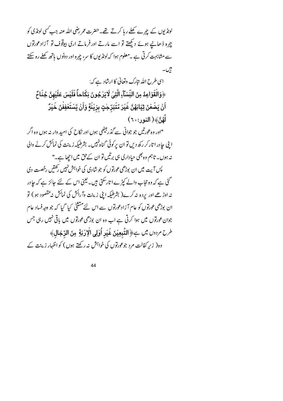لونڈ بوں کے چہرے کھلے رہا کرتے تھے۔حضرت عمر رضی اللہ عنہ جب کسی لونڈ کی کو چرہ ڈھانیے ہوئے دیکھتے تو اسے مارتے اور فرماتے اری بپوتوف تو آزادعورتوں سے مشابہت کرتی ہے ۔معلوم ہوا کہ لونڈ یوں کا سر، چہرہ اور دونوں ہاتھ کھلے رہ سکتے بیں۔ اسی طرح اللہ نتارک وتعالٰی کا ارشاد ہے کہ: ﴿وَالْقَوَاعِدُ مِنَ النِّسَآءِ الَّتِىٰ لَايَرْجُونَ نِكَاحاً فَلَيْسَ عَلَيْهِنَّ جُنَاحٌ اَنْ يَضَعْنَ ثِيَابَهُنَّ غَيْرَ مُتَبَرِّجْتٍ بِزِيْنَةٍ وَاَنْ يَّسْتَعْفِفْنَ خَيْرٌ لَّهُنَّ» (النور:٢٠) "اور وہ عورتیں جو جوانی سے گذر پیٹھی ہوں اور نکاح کی امید وار نہ ہوں وہ اگر ابنی جادر ا تارکر رکھ دیں تو ان برِ کوئی گناہ نہیں۔ بشرطیکہ زینت کی نمائش کرنے والی نہ ہوں۔ تا ہم وہ بھی حیاداری ہی برتیں تو ان کے حق میں اچھا ہے۔" پس آیت میں ان پوڑھی عورتوں کو جو شادی کی خواہش *نہیں رکھتیں* رخصت دی گئی ہے کہ وہ حجاب والے کپڑے اتار سکتی ہیں۔ یعنی اس کے لئے جائز ہے کہ جادر نہ اوڑھے اور پردہ نہ کرے( بشرطیکہ اپنی زینت وآ رائش کی نمائش نہ مقصود ہو ) تو ان بوڑھی عورتوں کو عام آ زادعورتوں سے اس لئےمشنٹی کیا گیا کہ جو وجہ فساد عام جوان عورتوں میں ہوا کرتی ہے اب وہ ان بوڑھی عورتوں میں باقی نہیں رہی جس طرح مردوں میں ہے﴿التَّبِعِيْنَ غَيْرِ أُوْلِي الْإِرْبَةِ ۚ مِنَ الرِّجَالِ﴾ وہ( زیر کفالت مرد جوعورتوں کی خواہش نہ رکھتے ہوں) کو اظہار زینت کے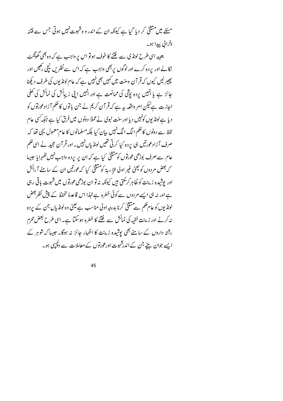مسئلے میں مشتنیٰ کر دیا گیا ہے کیونکہ ان کے اندر و ہشہوت نہیں ہوتی جس سے فتنہ وخرانی پیدا ہو۔

بعینہ اسی طرح لونڈ کی سے فتنے کا خوف ہوتو اس پر واجب ہے کہ وہ بھی گھونگٹ نکالے اور پردہ کرے اور لوگوں پر بھی واجب ہے کہ اس سے نظر یں نیچی رکھیں اور پھیر لیں کیوں کہ قرآن دسنت میں کہیں بھی نہیں ہے کہ عام لونڈ یوں کی طرف دیکھنا جائز ہے یا انہیں پردہ یوِتْنی کی ممانعت ہے اور انہیں اپنی زیبائش کی نمائش کی تھلی اجازت ہےگیکن ام واقعہ یہ ہے کہ قرآن کریم نے جن پاتوں کا حکم آ زادعورتوں کو دیا ہےلونڈ پوں کونہیں دیا اور سنت نبوی نےعملاً دونوں میں فرق کیا ہے جبکہ کسی عام لفظ سے دونوں کا حکم الگ الگ نہیں بیان کیا بلکہ مسلمانوں کا عام معمول یہی تھا کہ صرف آ زادعورتیں ہی بردہ کیا کرتی تھیں لونڈیاں نہیں۔ اور قرآن مجید نے اسی حکم عام سے صرف بوڑھی عورتوں کومشتنی کیا ہے کہ ان پر بردہ واجب نہیں کھہرایا جیسا کہ بعض مردوں کو یعنی غیر اولی الإ ربۃ کو مشثلیٰ کیا کہ عورتیں ان کے سامنے آ رائش اور پوشیده زینت کو ظاہر کرسکتی ہیں کیونکہ نیاتو ان بوڑھی عورتوں میں شہوت یاقی رہی ہے اور نہ ہی ایسے مردوں سے کوئی خطرہ ہے لہٰذا اس قاعدۂ تحفظ کے پیشِ نظر بعض لونڈ یوں کو عام تھم سے مشتنیٰ کرنا بدرجہ اولیٰ مناسب ہے یعنی وہ لونڈ پاں جن کے بردہ نہ کرنے اور زینت خفیہ کی نمائش سے فتنے کا خطرہ ہوسکتا ہے۔اسی طرح بعض محرم رشتہ داروں کے سامنے بھی بوشیدہ زینت کا اظہار جائز نہ ہوگا۔ جیسا کہ شوہر کے ایسے جوان بیٹے جن کے اندرشہوت اورعورتوں کے معاملات سے دلچیں ہو۔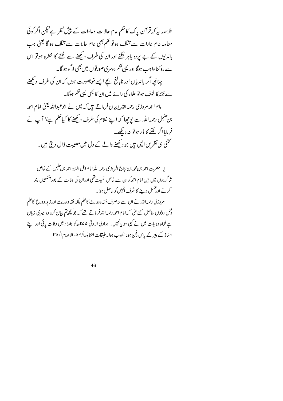خلاصہ ہے کہ قرآن پاک کا حکم عام حالات وعادات کے پیشِ نظر ہے کیکن اگر کوئی معاملہ عام عادات سے مختلف ہو تو حکم بھی عام حالات سے مختلف ہو گا یعنی جب باندیوں کے بے بردہ پاہر نکلنے اور ان کی طرف د <del>کھن</del>ے سے فتنے کا خطرہ ہو تو اس سے روکنا واجب ہوگا اور یہی حکم دوسری صورتوں میں بھی لاگو ہو گا۔ چنانچہ اگر باندیاں اور نابالغ بجے ایسے خوبصورت ہوں کہ ان کی طرف دیکھنے سے فتنہ کا خوف ہوتو علماء کی رائے میں ان کا بھی یہی حکم ہوگا۔ امام احمد م وزی رحمہ اللہ اپیان فرماتے ہیں کہ میں نے ابوعبداللہ یعنی امام احمد بن حنبل رحمہ اللہ سے پوچھا کہ اپنے غلام کی طرف دیکھنے کا کیا حکم ہے؟ آپ نے فرمایا اگر فتنے کا ڈر ہوتو نہ دیکھے۔ ۔<br>سمتنی ہی نظریں ایسی ہیں جو دیکھنے والے کے دل میں مصیب<sub>ت</sub> ڈال دیتی ہیں۔ لے حضرت احمد بن محمد بن حجاج المروز کی رحمہ اللہ امام اہل السنة احمد بن حنبل کے خاص شاگردوں میں ہیں امام احمد کوان سے خاص انسیت تھی اور ان کی وفات کے بعد آ<sup>می</sup>ھیں بند کرنے اورغسل دینے کا شرف انہیں کو حاصل ہوا۔ مروزی رحمہ اللہ نے ان سے نہ صرف فقہ وحدیث کاعلم بلکہ فقہ وحدیث اور زیدِ وورع کاعلم ء<br>ممل دونوں حاصل <sub>کئے</sub>حتیٰ کہ امام احم*د رحم*ہ اللہ فرماتے تھے کہ جو کچھ تم بیان کرو وہ میری زبان ہےخواہ وہ بات میں نے کہی ہو پانہیں۔ جمادی الاولٰی ۴۷ھ کو بغداد میں وفات پائی اور اپنے استاذ کے پیر کے پاس فِن ہونا نصیب ہوا۔طبقات الحنابلہ1/ ۵۶، الاعلام ا/ ۳۵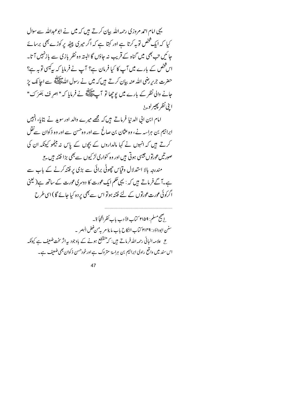یہی امام احمد مروزی رحمہ اللہ بیان کرتے ہیں کہ میں نے ابوعبداللہ سے سوال کیا کہ ایک شخص توبہ کرتا ہے اور کہتا ہے کہ اگر میری پیٹھ پر کوڑے بھی برسائے جائیں تب بھی میں گناہ کے قریب نہ جاؤں گا البتہ وہ نظر بازی سے بازنہیں آ تا۔ اس شخص کے بارے میں آپ کا کیا فرمان ہے؟ آپ نے فرمایا کہ پہکیسی تو ہہ ہے؟ حضرت جربر رضی اللہ عنہ بیان کرتے ہیں کہ میں نے رسول اللہﷺ سے اجا تک پڑ جانے والی نظر کے بارے میں یوچھا تو آپ ﷺ نے فرمایا کہ " اصرِ ف بَصَرَ کَ" اینی نظر پھیرلو۔ا

امام ابن انی الدنیا فرماتے ہیں کہ مجھے میرے والد اور سوید نے بتایا، انہیں ابراتیم بن ہراسہ نے، وہ عثان بن صالح سے اور وہ حسن سے اور وہ ذکوان سےنقل کرتے ہیں کہ انہوں نے کہا مالداروں کے بچوں کے پاس نہ بیٹھو کیونکہ ان کی صورتیںعورتوں جیسی ہوتی ہیں اور وہ کنواری لڑ کیوں سے بھی بڑا فتنہ ہیں بے مندرجہ بالا استدلال وقیاس چھوٹی برائی سے بڑی پر فتنہ کرنے کے باب سے ہے۔آگے فرماتے ہیں کہ : یہی حکم ایک عورت کا دوسری عورت کے ساتھ ہے( کیجنی اگرکوئی عورت عورتوں کے لئے فتنہ ہوتو اس سے بھی پردہ کیا جائے گا) اسی طرح

\_ اضج مسلم: ٢١۵٩ كتاب الأ دب باب نظر الفحأ ة -سنن ابوداؤد: ٢١٢٩ كمّاب النكاح باب ما يؤمر به<sup>م</sup>ن غض البصر به مع علامہ البانی رحمہ اللہ فرماتے ہیں: کہ منقطع ہونے کے باوجود پہ اثر سخت ضعیف ہے کیونکہ اس سند میں واقع راوی ابراہیم بن ہراسۃ متروک ہے اورخودحسن ذکوان بھی ضعیف ہے۔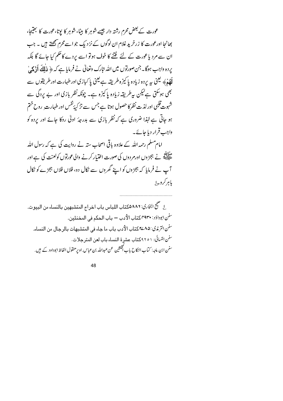عورت کے بعض محرم رشتہ دار جیسے شوہر کا بیٹا، شوہر کا پوتا،عورت کا بھتیجا، بھانجا اورعورت کا زرخر پد غلام ان لوگوں کے نز دیک جو اسے محرم شمجھتے ہیں ۔ جب ان سے مرد یاعورت کے لئے فتنے کا خوف ہوتو اسے پردے کاحکم کیا جائے گا بلکہ یردہ واجب ہوگا۔ جن صورتوں میں اللہ تبارک وتعالٰی نے فرمایا ہے کہ ﴿ دٰلِٰكَ أَذْ يَكِي لَّٰهُمْ ﴾ لَيْمَىٰ بِهِ يرده زياده يا كيزه طريقه ہے لييمْ يا كبازى اور طہارت اور طريقوں سے بھی ہوسکتی ہےکیکن سےطریقہ زیادہ پاکیزہ ہے۔ چونکہ نظر بازی اور بے پردگی سے شہوت قلبی اور لذت نظر کا حصول ہوتا ہے جس سے تز کی<sub>ئی</sub>نفس اور طہارت ِ روح <sup>خ</sup>تم ہو جاتی ہے لہٰذا ضروری ہے کہ نظر بازی سے بدرجہُ اولیٰ روکا جائے اور یردہ کو واجب قرار دیا جائے۔ امام مسلم رحمہ اللہ کے علاوہ باقی اصحاب ستہ نے روایت کی ہے کہ رسول اللہ ۔<br>علیمنے نے ہجڑوں اورمردوں کی صورت اختیار کرنے والی عورتوں کولعنت کی ہے اور آپ نے فرمایا کہ ہجڑوں کو اپنے گھروں سے نکال دو، فلاں فلاں ہجڑے کو نکال پاہر کرو۔ا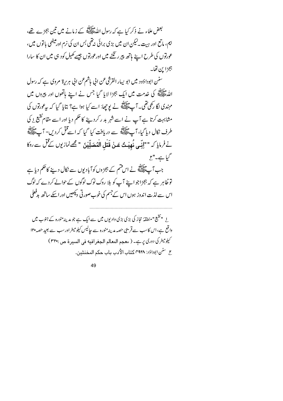بعض علماء نے ذکر کیا ہے کہ رسول اللہﷺ کے زمانے میں تین ہجڑے تھے، بیم، ماتع اور ہیت <sup>لی</sup> کین ان میں بڑی برائی ن*تھی بس* ان کی نرم اور میٹھی باتوں میں، عورتوں کی طرح اپنے ہاتھ پیر رنگنے میں اورعورتوں جیسے کھیل کود ہی میں ان کا سارا ہجڑا پن تھا۔

سنن ابوداؤود میں ابو پیار القرشی عن انی ماشم عن انی ہری<sub>د</sub>ۃ مروی ہے کہ رسول الدُّ عَلَيْلَةِ كَى خدمت ميں ايك ہجڑا لايا گيا جس نے اپنے ہاتھوں اور پیروں میں مہندی لگا رکھی تھی۔ آ ﷺ نے یوچھا: اسے کیا ہوا ہے؟ بتایا گیا کہ یہ عورتوں کی مشابہت کرتا ہے آپ نے اسے شہر بد رکردینے کا حکم دیا اور اسے مقام تقیع اِ کی طرف نکال دیا گیا، آپﷺ سے دریافت کیا گیا کہ اسے قُتل کردیں- آپﷺ نے فرمایا کہ ""اِنِّسِی نُھیْٹَ عَنْ قَتْلِ الْمُصَلِّیْنَ " مُجھےنمازیوں کے تَلْ سے روکا گیا ہے۔"۲

جب آپ ﷺ نے اس قسم کے ہجڑوں کوآباد یوں سے نکال دینے کاحکم دیا ہے تو ظاہر ہے کہ ہجڑاجو اپنے آپ کو بلا روک ٹوک لوگوں کے حوالے کردے کہ لوگ اس سے لذت اندوز ہوں اس کے جسم کی خوب صورتی دیکھیں اور اسکے ساتھ بدفعلی

لے "نقیعی"منطقۂ حجاز کی بڑی بڑی وادیوں میں سے ایک ہے جو مدینہ منورہ کے جنوب میں واقع ہے،اس کاسب سے قریبی حصہ مدینہ منورہ سے جالیس کیلومیٹر اور سب سے بعید حصہ ۱۲۰ كيلوميثركي دوري يرب ( معجم المعالم الجغرافيه في السيرة ص :٣٢٠) ع سنن ابوراوَر: ٣٩٢٨ كتاب الأدب باب حكم المخنثين.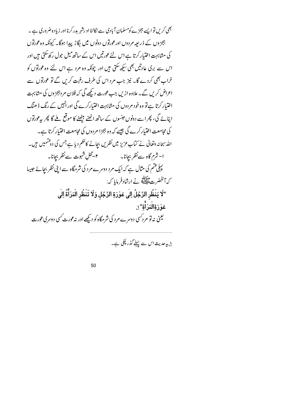بھی کریں تو ایسے ہجڑے کومسلمان آبادی سے نکالنا اورشہر بدرکرنا اور زیادہ ضروری ہے ۔ ہجڑوں کے ذریعہ مردوں اورعورتوں دونوں میں لگاڑ پیدا ہوگا۔ کیونکہ وہ عورتوں کی مشابہت اختیار کرتا ہے اس لئے عورتیں اس کے ساتھ میل جول رکھ کتی ہیں اور اس سے بری عادتیں بھی سکھ سکتی ہیں اور چونکہ وہ مرد ہے اس لئے وہ عورتوں کو خراب بھی کردے گا۔ نیز جب مرد اس کی طرف رغبت کریں گے تو عورتوں سے اعراض کریں گے۔ علاوہ ازیں جب عورت دیکھے گی کہ فلان مردہجڑوں کی مشابہت اختیار کرتا ہے تو وہ خود مردوں کی مثابہت اختیارکرے گی اور انہیں کے رنگ ڈھنگ اپنائے گی، پھراسے دونوں جنسوں کے ساتھ اٹھنے بیٹھنے کا موقع ملے گا پھر یہ عورتوں کی مجامعت اختیار کرے گی جیسے کہ وہ ہجڑا مردوں کی مجامعت اختیار کرتا ہے۔ اللہ سجانہ وتعالیٰ نے کتاب عزیز میں نظریں بچانے کاحکم دیا ہے جس کی دوقتمیں ہیں۔ یہا قسم کی مثال ہے کہ ایک مرد دوسرے مرد کی شرمگاہ سے اپنی نظر ب<u>ج</u>ائے حبیبا کہ آنخضرتﷺ نے ارشادفر مایا کہ: "لَا يَنْظُرِ الرَّجُلُ اِلٰى عَوْرَةِ الرَّجُلِ وَلَا تَنْظُرِ الْمَرْأَةُ اِلٰى **عَوْرَةِالْمَرْأَةِ**" ِ ۔<br>یعنی نہ تو مردسی دوسرے مرد کی شرمگاہ کو دیکھے اور نہ عورت *کس*ی دوسری عورت

ل پہ حدیث اس سے پہلے گذر چکی ہے۔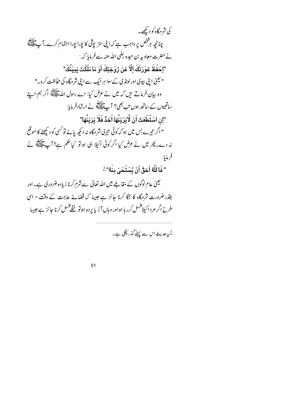کی شرمگاہ کو دیکھیے۔ چنانچه ہ<sup>ر شخ</sup>ص پر واجب ہے کہ اپنی ستر یو<u>شی</u> کا پورا پورا اہتمام کرے۔آپ ایک ایک بلائی نے حضرت معاویہ بن حبیرہ رضی اللہ عنہ سے فرمایا کہ : "اِحْفَظْ عَوْرَتَكَ إِلَّا عَنْ زَوْجَتِكَ أَوْ مَا مَلَكَتْ يَمِيْنُكَ" " کیجنی اپنی بیوی اورلونڈی کےسوا ہر ایک سے اپنی شرمگاہ کی حفاظت کرو۔" وہ بیان فرماتے ہیں کہ میں نے عرض کیا: اے رسول اللہ علاقاتِه اگر ہم اپنے ساتھیوں کے ساتھ ہوں تب بھی؟ آ پے ایقی نے ارشاد فرمایا: "اِن اسْتَطَعْتَ اَنْ لَّا يَرَيَنَّهَا اَحَدٌ فَلَا يَرَيَنَّهَا" " اگر تیرے بس میں ہو کہ کوئی تیرکی شرمگاہ نہ دیکھ پائے تو کسی کو دیکھنے کا موقع نہ دے۔پھر میں نے عرض کیا اگر کوئی اکیلا ہی ہو تو کیا حکم ہے؟ آپ ﷺ نے فرمايا: " فَا للَّهُ آَحَقُ أَنْ يُسْتَحْيَ مِنْهُ" ۖ لیحنی عام لوگوں کے مقابلے میں اللہ تعالٰی سے شرم کرنا زیادہ ضروری ہے۔ اور بقدر ضرورت شرمگاہ کا ننگا کرنا جائز ہے جیپا کہ قضائے جاجت کے وقت – اسی طرح اگر مرد اکیلاننسل کرر ہا ہواور وہاں آڑیا پردہ ہوتو ننگے تنسل کرنا جائز ہے جیسا

<sup>ل</sup>ے بیرعدیث اس سے پہلے گذر چکی ہے۔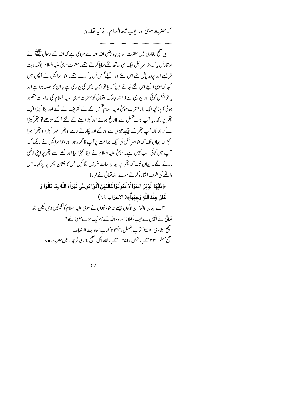#### کہ حضرت موّیٰ اور ایوب علیہاالسلام نے کیا تھا۔ ۱

۱. صحیح بخاری میں حضرت ابو ہریرہ رضی اللہ عنہ سے مروی ہے کہ اللہ کے رسول ﷺ نے ارشاد فرمایا که بنواسرائیل ایک ہی ساتھ ننگے نہایا کرتے تھے۔حضرت موّیٰ علیہ السلام چونکہ بہت شرملے اور بردہ ہوِتْں تھے اس لئے وہ اسلیےعنسل فرمایا کرتے تھے۔ ہنو اسرائیل نے آپس میں کہا کہ موّیٰ ا کیلے اس لئے نہاتے ہیں کہ یا تو انہیں برص کی بیار ی ہے یا ان کا خصیہ بڑا ہے اور یا تو انہیں کوئی اور بیاری ہے( اللہ تبارک وتعالیٰ کو حضرت موّیٰ علیہ السلام کی براء ت مقصود ہوئی) چنانچہ ایک بار حضرت موّیٰ علیہ السلام عسل کے لئے تشریف لے گئے اور اپنا کپڑا ایک پقر پر رکھ دیا آپ جب عسل سے فارغ ہوئے اور کپڑا لینے کے لئے آگے بڑھے تو پقر کپڑا لے کر بھاگا۔آپ پتھر کے پیچھے تیز کی سے بھاگے اور ایکار تے رہے اوپتھر! میرا کپڑ ااو پتھر! میرا کیڑا۔ یہاں تک کہ بنواسرائیل کی ایک جماعت پر آپ کا گذر ہوا اور بنواسرائیل نے دیکھا کہ آپ میں کوئی عیب نہیں ہے۔ مویٰ علیہ السلام نے اپنا کپڑا لیا اور غصے سے پتھر پر اپنی لاٹھی مارنے گے۔ یہاں تک کہ پتم پر چھ یا سات ضربیں لگا ئیں جن کا نشان پتم پر پڑ گیا۔ اس واقعے کی طرف اشارہ کرتے ہوئے اللہ تعالٰی نے فرمایا: ﴿ يَأْيُهَا الَّذِيْنَ اٰمَنُوْا لَا تَكُونُوْا كَالَّذِيْنَ اٰذَوْا مُوْسٰى فَبَرَّاهُ اللَّهُ مِمَّا قَالُوْا وَ كَانَ عِنْدَ اللَّهِ وَجِيْهاً﴾( الاحزاب:٦٩) "اے ایمان والو! ان لوگوں جیسے نہ بنوجنہوں نے موّیٰ علیہ السلام کوتکلیفیں د س لیکن اللّٰہ تعالیٰ نے انہیں بےعیب دکھلایا اور وہ اللہ کے نز دیک بڑےمعزز تھے" صحيح البخاري: ٢۷٨ كتاب الغسل ،٣٢/٢ كتاب احاديث الانبياء \_ صحیح مسلم: ۳۳۱ کمّاب الحیض ، ۲۳۷۱ کمّاب الفصائل صحیح بخاری شریف میں حضرت =>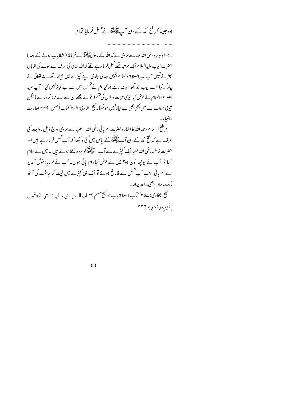# اورجیپا کہ فتح یکہ کے دن آپ ﷺ نے عسل فرمایا تھا یہ

=> ابو ہربرہ رضی اللہ عنہ سے مروی ہے کہ اللہ کے رسولﷺ نے فرمایا: ( شفا باب ہونے کے بعد ) حضرت ایوب علیہ السلام ایک مرتبہ ننگے تنسل فرما رہے تھے کہ اللہ تعالٰی کی طرف سے سونے کی ٹڈیاں حجٹر نے لگیں آپ علیہ الصلا ۃ والسلام انہیں جلدی جلدی اپنے کپڑے میں سمیٹنے گیے۔ اللہ تعالیٰ نے ایکار کر کہا: اے ایوب جو کچھ سمیٹ رہے ہو کیا ہم نے تمہیں اس سے بے نیاز نہیں کیا؟ آپ علیہ الصلا ۃ والسلام نے عرض کیا تیری عزت وجلال کی قسم ( تو نے مجھے ان سے بے نیاز کردیا ہے ) لیکن تیری برکات سے میں بھی بھی بے نیازنہیں ہوسکتا۔صحیح ابخاری: 4 سے کتاب افغسل ۳۳۹۱ احادیث الانبياءيه

۱ شیخ الاسلام رحمہ اللہ کا اشارہ حضرت ام ہانی رضی اللہ عنہا سے مروی درج ذیل روایت کی طرف ہے کہ فتح مکہ کے دن آپﷺ کے پاس میں گئی دیکھا کہ آپ عسل فرما رہے ہیں اور حضرت فاطمہ رضی اللہ عنہا ایک کپڑے سے آپ علی ایک میں دو گئے ہوئے ہیں ۔ میں نے سلام کیا تو آپ نے یوچھا کون ہو؟ میں نے عرض کیا، ام ہانی ہوں۔آپ نے فرمایا: خوش آمدید اے ام ہانی ،جب آپ عسل سے فارغ ہوئے تو ایک ہی کپڑے میں لیٹ کر جاشت کی آٹھ ر<sub>ك</sub>عت نماز ب<sup>رھ</sup>ی۔الحدیث۔ صحيح ابنجاري: ٣۵۷ كتاب الصلا ة باب۴،صحيح مسلم كتساب البحييض بساب تبستير المُغتَسِيل بِثَوبِ وَنَحْوِمِ ٣٣٦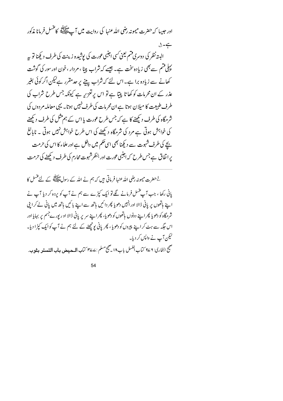اور جبیہا کہ حضرت میمونہ رضی اللہ عنہا کی روایت میں آپ ﷺ کاغنسل فرمانا مذکور

ے۔ب البته نظر کی دوسری فتم یعنی سی اجنبی عورت کی پوشیده زینت کی طرف دیچینا تو په یہا قسم سے بھی زیادہ سخت ہے۔ جیسے کہ شراب پینا ، مردار ، خون اور سور کی گوشت کھانے سے زیادہ برا ہے۔اس لئے کہ شراب بینے پر حدمقرر ہےلیکن اگر کوئی بغیر عذر کے ان محرمات کو کھا تا پتتا ہے تو اس پر تعزیر ہے کیونکہ جس طرح شراب کی طرف طبیعت کا میلان ہوتا ہے ان محرمات کی طرف نہیں ہوتا۔ یہی معاملہ مردوں کی شرمگاہ کی طرف دیکھنے کا ہے کہ جس طرح عورت یا اس کے ہم مثل کی طرف دیکھنے کی خواہش ہوتی ہے مرد کی شرمگاہ دیکھنے کی اس طرح خواہش نہیں ہوتی ۔ نابالغ بجے کی طرف شہوت سے دیکھنا بھی اسی حکم میں داخل ہے اور علماء کا اس کی حرمت پراتفاق ہے جس طرح کہ اجنبی عورت اور بنظرشہوت محارم کی طرف دیکھنے کی حرمت

۔<br><sup>لے حض</sup>رت میمونہ رضی اللہ عنہا فرماتی ہیں کہ ہم نے اللہ کے رسولﷺ کے لئے عنسل کا پانی رکھا ، جب آپ عسل فرمانے گے تو ایک کپڑے سے ہم نے آپ کو پردہ کر دیا آپ نے اپنے ہاتھوں پر پانی ڈالا اور انہیں دھویا پھر دائیں ہاتھ سے اپنے ہائیں ہاتھ میں پانی لے کرا پی شرمگاہ کو دھویا پھراپنے دونوں ماتھوں کو دھویا، پھراپنے سریریانی ڈالا او رپورےجسم پر بہایا اور اس جگہ سے ہٹ کر اپنے پیروں کو دھویا ، پھر پانی پونچھنے کے لئے ہم نے آپ کوایک کپڑا دیا۔ کیکن آپ نے واپس کر دیا۔ صحيح ابخاري: ٢ ٢ كتاب الغسل باب١٨ يصحيح مسلم :٢٤ كتاب **السعيض بياب التستيد بيثو**ب.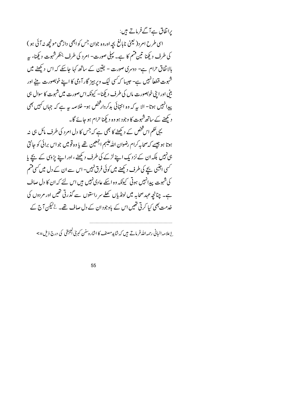یرانفاق ہےآگےفرماتے ہیں: اسي طرح امر د( کیجني ناپالغ بچه اوروه جوان جس کوابھي داڑھي مونچھ نہ آئي ہو ) کی طرف دیکھنا تین فتیم کا ہے۔ پہلی صورت- امرد کی طرف بنظرشہوت دیکھنا، بہر بالاتفاق حرام ہے- دوسری صورت - یقین کے ساتھ کہا جاسکے کہ اس دیکھنے میں شہوت قطعاً نہیں ہے- جیپا کہ کسی نیک ویرہیز گارآ دی کا اپنے خوبصورت بیٹے اور بٹی اور ابنی خوبصورت ماں کی طرف دیکھنا۔ کیونکہ اس صورت میں شہوت کا سوال ہی یدانہیں ہوتا– الا یہ کہ وہ انتہائی بدکردار *شخص ہو*– خلاصہ یہ ہے کہ جہاں کہیں بھی د کیھنے کے ساتھ شہوت کا وجود ہو وہ دیکھنا حرام ہو جائے گا۔ یہی حکم اس شخص کے دیکھنے کا بھی ہے کہ جس کا دل امرد کی طرف مائل ہی نہ ہوتا ہو جیسے کہ صحابہ کرام رضوان اللہ علیہم اجمعین حجے یا وہ قومیں جو اس برائی کو جانتی ہی نہیں بلکہ ان کے نزد یک اپنے لڑکے کی طرف دیکھنے ، اور اپنے پڑوی کے بچے پا کسی اجنبی بجے کی طرف دیکھنے میں کوئی فرق نہیں۔ اس سے ان کے دل میں کسی فتم کی شہوت پیدائنہیں ہوتی کیونکہ وہ اسکے عادی نہیں ہیں اس لئے کہ ان کا دل صاف ہے۔ چنانچہ عہد صحابہ میں لونڈیاں کھلے سر راستوں سے گذرتی تھیں اور مردوں کی خدمت بھی کیا کرتی تھیں اس کے باوجود ان کے دل صاف تھے۔ لےکپکن آج کے

<sub>.</sub> اعلامہ الیانی رحمہ اللہ فرماتے ہیں کہ شاید مصنف کا اشارہ سنن کبری البیہقی کی درج ذیل=>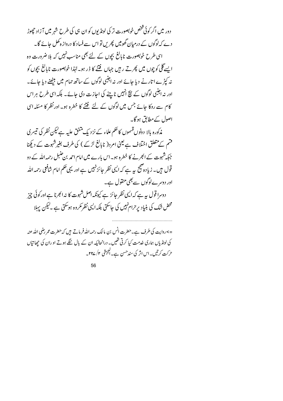دور میں اگر کوئی څخص خوبصورت تر کی لونڈیوں کو ان ہی کی طرح شہر میں آ زاد حچھوڑ دے کہ لوگوں کے درمیان گھومیں پھریں تو اس سے فساد کا درواز ہ کھل جائے گا۔ اسی طرح خوبصورت ناپالغ بچوں کے لئے بھی مناسب نہیں کہ بلا ضرورت وہ ایسے گلی کو چوں میں پھرتے رہن جہاں فتنے کا ڈر ہو۔لہٰذا خوبصورت نابالغ بچوں کو نہ کپڑے اتارنے دیا جائے اور نہ اجنبی لوگوں کے ساتھ حمام میں بلٹھنے دیا جائے۔ اور نہ اجنبی لوگوں کے بیچ انہیں ناچنے کی اجازت دی جائے۔ بلکہ اسی طرح ہر اس کام سے روکا جائے جس میں لوگوں کے لئے فتنے کا خطرہ ہو۔ اورنظر کا مسکہ اسی اصول کے مطابق ہو گا۔

مذکورہ بالا دونوں قسموں کا حکم علماء کے نزد یک متفق علیہ ہے کیکن نظر کی تیسر ک قسم کے متعلق اختلاف ہے یعنی امرد( نابالغ لڑکے ) کی طرف بغیرشہوت کے دیکھنا جبکہشہوت کے ابھرنے کا خطرہ ہو۔اس بارے میں امام احمد بن حنبل رحمہ اللہ کے دو قول ہیں۔ زیادہ صحیح پہ ہے کہ ایپی نظر جائز نہیں ہے اور یہی حکم امام شافعی رحمہ اللہ اور دوسرے لوگوں سے بھی منقول ہے۔ دوسرا قول ہے ہے کہ ایپی نظر جائز ہے کیونکہ اصل شہوت کا نہ اکبرنا ہے اور کوئی چیز محض شک کی بنیاد پرحرام نہیں کی جاسکتی بلکہ ایپی نظر مکروہ ہوسکتی ہے ۔لیکن پہلا

=>روايت كي طرف ہے۔حضرت انس بن مالك رحمہ الله فرماتے ہیں كہ حضرت عمر رضي الله عنهر کی لونڈیاں ہماری خدمت کیا کرتی تھیں۔ درانجالیکہ ان کے پال ننگے ہوتے او ران کی حھاتیاں حرکت کرتیں۔اس اثر کی سندحسن ہے۔الیبہقی ۲/ ۲۲۷\_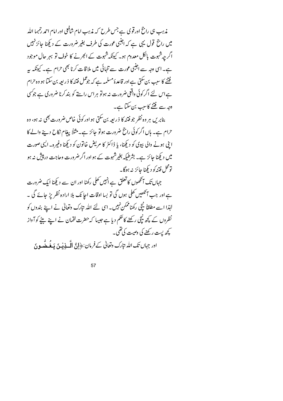مذہب ہی راجح اور قوی ہے جس طرح کہ مذہب امام شافعی اور امام احمد رحمہما اللہ میں راجح قول یہی ہے کہ اجنبی عورت کی طرف بغیر ضرورت کے دیکھنا جائز نہیں اگر چہ شہوت بالکل معدوم ہو۔ کیونکہ شہوت کے انجرنے کا خوف تو بہر حال موجود ہے۔اسی دجہ سے اجنبی عورت سے تنہائی میں ملاقات کرنا بھی حرام ہے۔ کیونکہ سے فتنے کا سب بن سکتی ہے اور قاعدۂ مسلمہ ہے کہ جوعمل فتنہ کا ذریعہ بن سکتا ہو وہ حرام ہے اس لئے اگر کوئی واقعی ضرورت نہ ہوتو ہر اس راستے کو بند کرنا ضروری ہے جوکسی وجہ سے فتنے کاسب بن سکتا ہے۔

بنابریں ہر وہ نظر جو فتنہ کا ذریعہ بن سکتی ہو اور کوئی خاص ضرورت بھی نہ ہو، وہ حرام ہے۔ ہاں اگر کوئی راجح ضرورت ہوتو جائز ہے۔مثلاً پیغام نکاح دینے والے کا ا بنی ہونے والی بیوی کو دیکھنا، یا ڈاکٹر کا مریض خاتون کو دیکھنا وغیرہ۔ ایسی صورت میں دیکھنا جائز ہے۔ بشرطیکہ بغیرشہوت کے ہواور اگرضرورت وجاجت در پیش نہ ہو تومحل فتنهكو ديكهنا جائزينه بهوگا۔

جہاں تک آنکھوں کا تعلق ہے انہیں کھلی رکھنا اور ان سے دیکھنا ایک ضرورت ہے اور جب آئکھیں کھلی ہوں گی تو بسا اوقات اجا تک بلا ارادہ نظر پڑ جائے گی ۔ لہٰذا اسے مطلقاً بیچی رکھناممکن نہیں۔ اسی لئے اللہ متارک وتعالٰی نے اپنے بندوں کو نظروں کے کچھ نیچی رکھنے کا حکم دیا ہے جیسا کہ حضرت لقمان نے اپنے بیٹے کو آواز کچھ پست رکھنے کی وصیت کی تھی۔

اور جہاں تک اللہ تبارک وتعالٰی کےفرمان:﴿إِنَّ الْـَـٰذِيٰنَ يَـغُـضُّـوِينَ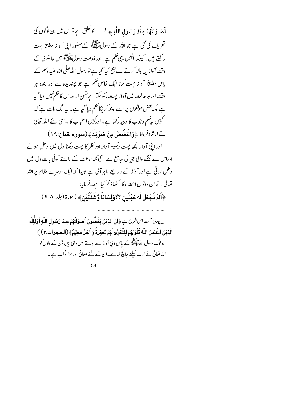اَحْسوَاتَهُمْ عِنْدَ دَسُوْلِ اللَّهِ ﴾ لمس سمح العلق ہے تو اس میں ان لوگوں کی تعریف کی گئی ہے جو اللہ کے رسولﷺ کےحضور ابنی آواز مطلقاً پست رکھتے ہیں۔ کیونکہ انہیں یہی حکم ہے۔اور خدمت رسول ایک میں حاضری کے وقت آواز بں بلند کرنے سے منع کیا گیا ہے تو رسول اللہ صلی اللہ علیہ وسلم کے پاس مطلقاً آواز پست کرنا ایک خاص حکم ہے جو پسندیدہ ہے اور بندہ ہر وقت اور ہر حالت میں آ واز پست رکھ سکتا ہےلیکن اسے اس کا حکم نہیں دیا گیا ہے بلکہ بعض موقعوں پراسے بلند کر نیکاحکم دیا گیا ہے۔ یہ الگ بات ہے کہ کہیں پیٹھم وجوب کا درجہ رکھتا ہے۔ اورکہیں استخباب کا ۔ اسی لئے اللہ تعالیٰ نے ارشادفرمایا:﴿وَاغْضُضْ مِنْ صَوْتِكَ﴾(سورہ لقمان:١٩) اور ابنی آواز کچھ پست رکھو– آواز اور نظر کا پست رکھنا دل میں داخل ہونے اوراس سے نکلنے والی چیز کی جامع ہے۔ کیونکہ ساعت کے راستے کوئی بات دل میں داخل ہوتی ہے اور آواز کے ذریعے باہر آتی ہے جیپا کہ ایک دوسرے مقام پر اللہ تعالى نے ان دونوں اعضاء كا اكٹھا ذكر كيا ہے۔فرمايا: ﴿اَلَمْ نَجْعَل لَّه عَيْنَيْنِ xوَلِسَاناً وَّشَفَتَيْنِ﴾ ( سِرة البلد: ٨-٩)

لِ يِرِي آيت ا $\sim$ طرح بِ ﴿إِنَّ الَّذِينَ يَغُضُّونَ اَصْوَاتَهُمْ عِنْدَ رَسُوْلِ اللَّهِ اُوْلَٰٓئِكَ الَّذِينَ امْتَحَنَ اللَّهُ قُلُوْبَهُمْ لِلتَّقَوٰى لَهُمْ مَّغْفِرَةٌ وَّ اَجْرٌ عَظِيْمٌ﴾ (الحجرات:٣) ﴾ جولوگ رسول اللہﷺ کے پاس دنی آواز سے بولتے ہیں وہی ہیں جن کے دلوں کو اللہ تعالٰی نے ادب کیلئے جانچ لیا ہے۔ان کے لئے معافی اور بڑا ثواب ہے۔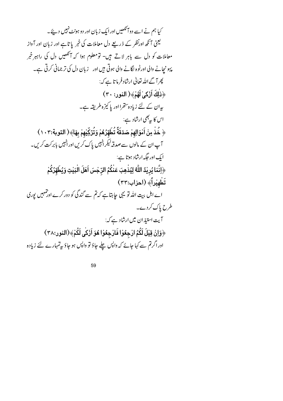کیا ہم نے اسے دوآ نکھیں اور ایک زبان اور دو ہونٹ نہیں دیئے۔ لیجنی آئکھ اورنظر کے ذریعے دل معاملات کی خبر پاتاہے اور زبان اور آواز معاملات کو دل سے باہر لاتے ہیں- تو معلوم ہوا کہ آنکھیں دل کی راہبر خبر پہو نیچانے والی اورٹوہ لگانے والی ہوتی ہیں اور یہ بان دل کی تر جمانی کرتی ہے۔ پھرآ گے <sub>اللّٰہ</sub> تعالٰی ارشادفر ماتا ہے کہ: ﴿ذٰلِكَ اَزْكَىٰ لَهُمْ﴾ (النور: ٣٠) بیران کے لئے زیادہ ستھرااور پاکیزہ طریقہ ہے۔ اس کا پہ بھی ارشاد ہے: ﴿ خَذْ مِنْ اَمْوَالِهِمْ صَدَقَةً تُطَهِّرُهُمْ وَتُرَكِّيْهِمْ بِهَا﴾( التوبة:١٠٣) آپ ان کے مالوں سے صدقہ کیکر انہیں پاک کریں اور انہیں بابرکت کریں۔ ایک اور جگہ ارشاد ہوتا ہے: ﴿اِنَّمَا يُرِيْدُ اللَّهُ لِيُذْهِبَ عَنْكُمُ الرِّجْسَ اَهْلَ الْبَيْتِ وَيُطَهِّرُكُمْ تَطْهِيْراً﴾ (احزاب:٣٣) اے اہل بیت اللہ تو یہی جاہتاہے کہ تم سے گندگی کو دور کرے اور تہہیں پوری طرح پاک کردے۔ آیت استی*ذ*ان میں ارشاد ہے کہ: ﴿وَاِنْ قِيْلَ لَكُمُ ارْجِعُوْا فَارْجِعُوْا هُوَ اَزْكَٰى لَكُمْ﴾(النور:٣٨) اور اگرتم سے کہا جائے کہ واپس چلے جاؤ تو واپس ہو جاؤ پی<sup>ت</sup>یہارے لئے زیادہ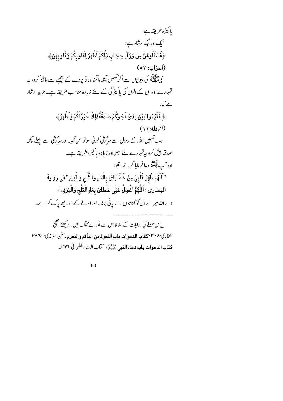اِ 
$$
يَّرَ،حُرِ يُّدَمِ جَ:
$$

\nآيِگرَهَرِ جَنَّارَ جَنَ اِنِحُدَهَ اَحَلَّهَرَ لَهَّلَوَهَ وَلَّلَوَهِدَمَهُ وَحُلَّلُو بِعَرِهَ وَنَلَّلُو بِعَرِهِنَ\n
$$
\frac{2}{3}
$$
هَنَنَلَّلُوَهُوَلَ مَنِلَ وَنَ وَنَ وَحِجَهِ یَدَلِهَ وَلَّهَ وَلَّهَ وَلَّهَ وَلَهَ وَلَهَ وَنَنَهَ وَنَنِهَ وَنَهِ یَدَ مَارت و، یا ررثاد  
\n
$$
\frac{2}{3}
$$
هَنِرَدَهَ وَنَهَ وَنَهَ وَنَهَ وَنَهَ وَنَهَ وَنَهَ وَنَهَ وَنَهَ وَنَهَ وَنَهَ وَنَهَ وَنَهَ وَنَهَ وَنَهَ وَنَهَ وَنَهَ وَنَهَ وَنَهَ وَنَهَ وَنَهَ وَنَهَ وَنَهَ وَنَهَ وَنَهَ وَنَهَ وَنَهَ وَنَهَ وَنَهَ وَنَهَ وَنَهَ وَنَهَ وَنَهَ وَنَهَ وَنَهَ وَنَهَ وَنَهَ وَنَهَ وَنَهَ وَنَهَ وَنَهَ وَنَهَ وَنَهَ وَنَهَ وَنَهَ وَنَهَ وَنَهَ وَنَهَ وَنَهَ وَنَهَ وَنَهَ وَنَهَ وَنَهَ وَنَهَ وَنَهَ وَنَهَ وَنَهَ وَنَهَ وَنَهَ وَنَهَ وَنَهَ وَنَهَ وَنَهَ وَنَهَ وَنَهَ وَنَهَ وَنَهَ وَنَهَ وَنَهَ وَنَهَ وَنَهَ وَنَهَ وَنَهَ وَنَهَ وَنَهَ وَنَهَ وَنَه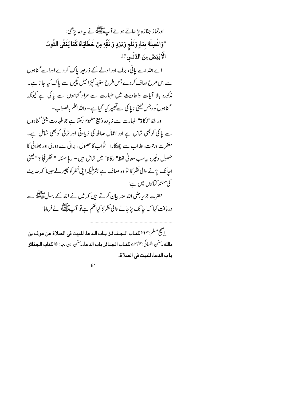اورنماز جنازہ پڑھاتے ہوئے آپ علاقہ نے بیردعا پڑھی: "وَاغْسِلْهُ بِمَاءٍ وَثَلْجٍ وَبَرَدٍ وَ نَقِّهِ مِنَ خَطَايَاهُ كَمَا يُنَقَّى الثَّوبُ الْآبْيَضُ مِنَ الدَّنَسِ" ِ اے اللہ اسے پانی، برف اور اولے کے ذریعہ پاک کردے اوراسے گناہوں سے اس طرح صاف کردے جس طرح سفید کپڑامیل کچیل سے پاک کیا جاتا ہے۔ مذکورہ بالا آیات واحادیث میں طہارت سے مراد گناہوں سے یا کی ہے کیونکہ گناہوں کو رجس یعنی ناپا کی سے تعبیر کیا گیا ہے- واللہ اعلم بالصواب-اور لفظ"ز کا ۃ" طہارت سے زیادہ وسیع مفہوم رکھتا ہے جو طہارت یعنی گناہوں سے پاکی کوبھی شامل ہے اور اعمال صالحہ کی زیادتی اور ترقی کوبھی شامل ہے۔ مغفرت ورحمت، عذاب سے چھٹکارا – نثواب کا حصول ، برائی سے دوری اور بھلائی کا حصول وغيره به سب معاني لفظ" زكاة" ميں شامل ہيں – رہا مسّله " نظر فجأ ة " لِعِمْي اجا نک پڑنے والی نظر کا تو وہ معاف ہے بشرطیکہ اپنی نظر کو پھیر لے جیپیا کہ حدیث کی متند کتابوں میں ہے: حضرت جربر رضی اللہ عنہ بیان کرتے ہیں کہ میں نے اللہ کے رسول ایک سے سے دریافت کیا کہ اجا نک پڑ جانے والی نظر کا کیا حکم ہے تو آپ ﷺ نے فرمایا: ِ الْمَجْمَّ مَسْمٍ: ٩٢٣ كتـاب الـجـنـائـز بـاب الـدعاء للميت في الصلاة عن عوف بن

61

مالك سِنن النسائي: ٣/٣ كتياب الجنائز باب الدعاء ِسنن ابن لهِ : ١٥ كتاب الجنائز

باب الدعاء للميت في الصلاة.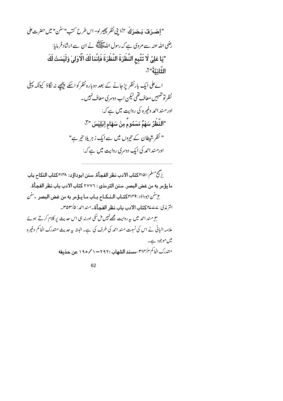"إِصْبِرَفْ بِمَصَدَلَهُ "إِبِيْ نَظَر پِھِيرِلُو- اس طرح كت "سنن" ميں حضرت على رضی اللہ عنہ سے مروی ہے کہ رسول اللہ علاقة ہے ۔<br>رضی اللہ عنہ سے مروی ہے کہ رسول اللہ علیہ ہے کے ان سے ارشاد فرمایا: "يَا عَلِيُ لَا تَتَّبِعِ النَّظْرَةَ النَّظْرَةَ فَإِنَّمَا لَكَ الْأَوْلِيٰ وَلَيْسَتْ لَكَ الثَّانتَةَ"<sup>7</sup> اےعلی ایک بارنظر پڑجانے کے بعد دوبارہ نظر کو اسکے پیچھے نہ لگاؤ کیونکہ پہلی

نظر تو تہہیں معاف تھی کیکن اب دوسری معاف نہیں۔ اورمند احمد وغیرہ کی روایت میں ہے کہ: "النَّظْرُ سَهْمٌ مَسْمُومٌ مِنْ سَهَام اِبْلِيْسَ "<sup>ت</sup>َ " نظر شیطان کے تیروں میں سے ایک زہر پلا تیر ہے" اورمند احمد کی ایک دوسری روایت میں ہے کہ:

لِصِحْمِ مسلم: ٢١٥١ كتاب الادب نظر الفجأة. سنن ابوداؤد: ٢١٢٨ كتاب النكاح باب ما يؤمر به من غض البصر. سنن الترمذي : ٢٧٧٦ كتاب الادب باب نظر الفجأة. لا تنن ابوداؤد: ٢١٢٩ كتباب المنكباح بياب مباييدة من به من غض البصر ب<sup>سنن</sup> الرِّنْدَى: ٢٤٤٤ كتاب الادب باب نظر الفجأة - منداحم: ٣٥٣/٥-س مند احمہ میں ہ<sub>ی</sub>روایت مجھے نہیں مل سکی اورنہ ہی اس حدیث پر کلام کرتے ہوئے علامہ البانی نے اس کی نسبت مسد احمہ کی طرف کی ہے۔ البتہ یہ حدیث متدرک الحاکم وغیرہ میں موجود ہے۔ متدرك الحاكم م/٢٣٣ ، مسند الشهاب :٢٩٢ - ١ /١٩٥ عن حذيفه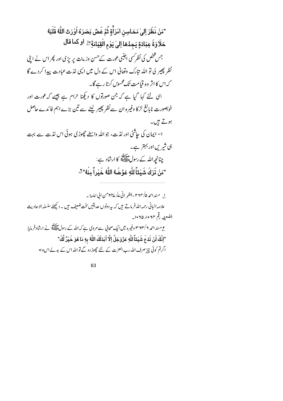"مَنْ نَظَرَ اِلِيٰ مَحَاسِنِ امْرَأَةٍ ثُمَّ غَضَّ بَصَرَهُ اَوْرَتَ اللَّهُ قَلْبَهُ حَلَاوَةَ عِبَادَةٍ يَجِدُهَا اِلىٰ يَوْمِ الْقِيَامَةِ" او كما قال جس شخص کی نظر کسی اجنبی عورت کےحسن وزینت پر پڑی اور پھر اس نے اپنی نظر پھیر کی تو اللہ تبارک وتعالیٰ اس کے دل میں الیی لذت عبادت پیدا کردے گا کہ اس کا اثر وہ قیامت تک محسوں کرتا رہے گا۔ اسی لئے کہا گیا ہے کہ جن صورتوں کا دیکھنا حرام ہے جیسے کہ عورت اور خوبصورت نابالغ لڑ کا وغیرہ ان سے نظر پھیر لینے سے تین بڑے اہم فائدے حاصل ہوتے ہیں۔ ا- ایمان کی جاشی اور لذت، جو الله واسطے جھوڑی ہوئی اس لذت سے بہت ہی شیریں اور بہتر ہے۔ چنانچہ اللہ کے رسول سابقہ<br>چنانچہ اللہ کے رسول ایک کا ارشاد ہے: "مَنْ تَرَكَ شَيْئاً لِلَّهِ عَوَّضَهُ اللَّهُ خَيْراً مِنْهُ" ِ

ا مسند احمد ۲۹۴/ ۲۹۴ ، الطبر انی کے کہ ۲۴ من انی امامة ۔ علامہ البانی رحمہ اللہ فرماتے ہیں کہ یہ دونوں حدیثیں سخت ضعیف ہیں ۔ دیکھئے سلسلہ الاحادیث الضعيفه رقم ١٠٦٣، ١٠٦٥\_ <u>۲</u> مسند احمہ ۲ س۲۳/۱ وغیرہ میں ایک صحافی سے مروی ہے کہ اللہ کے رسولﷺ نے ارشاد فرمایا: "اِنَّكَ لَنْ تَدَعَ شَيْئاً للَّهِ عَزَّوَجَلَّ إِلَّا اَبْدَلَكَ اللَّهُ بِهِ مَا هُوَ خَيْرٌ لَّكَ اگرتم کوئی چیز صرف اللہ رب العزت کے لئے حچھوڑ دو گے تو اللہ اس کے بدلے اس=>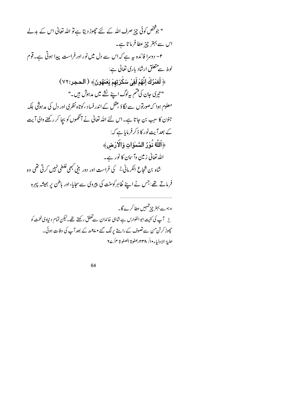" جو شخص کوئی چز صرف اللہ کے لئے حچھوڑ دیتا ہے تو اللہ تعالیٰ اس کے بدلے اس سے بہتر چیز عطا فرماتا ہے۔ ۲- دوسرا فائدہ ہیرہے کہ اس سے دل میں نور اور فراست پیدا ہوتی ہے۔قوم لوط سے متعلق ارشاد باری تعالیٰ ہے: ﴿ لَعَمْرُكَ إِنَّهُمْ لَفِي سَكْرَتِهِمْ يَعْمَهُونَ﴾ ( الحجر:٧٢ ) " تیری جان کی قسم بیہ لوگ اپنے نشے میں مدہوش ہیں۔" معلوم ہوا کہ صورتوں سے لگاؤ ہقل کے اندر فساد ،کوتاہ نظری اور دل کی مدہوثتی بلکہ جنون کا سبب بن جاتا ہے۔اس لئے اللہ تعالٰی نے آنکھوں کو بچا کر رکھنے والی آیت کے بعدآیت نور کا ذکرفرمایا ہے کہ: ﴿اَللَّهُ نُوْرُ السَّمٰوَاتِ وَالْآرْضِ﴾ اللہ تعالٰیٰ زمین وآسان کا نور ہے۔ شاه بن شجاع الکرمانی له کی فراست اور دور بنی نبھی غلطی نہیں کرتی تھی وہ فرماتے تھے:جس نے اپنے ظاہر کوسنت کی پیروی سے سجایا، اور باطن پر ہمیشہ پہرہ => سے بہتر چز تہہیں عطا کرے گا۔ لے آپ کی کنیت ابوالفوارس ہے شاہی خاندان سےتعلق رکھتے تھے۔لیکن تمام دنیاوی نعمت کو جپوڑ کرتن من سے تصوف کے راستے پر لگ گئے • <sup>4</sup>میر کے بعد آپ کی وفات ہوئی۔ حلبة الاولياء •ا/ ٢٣٨،صفوة الصفوة ٣/ ٢٧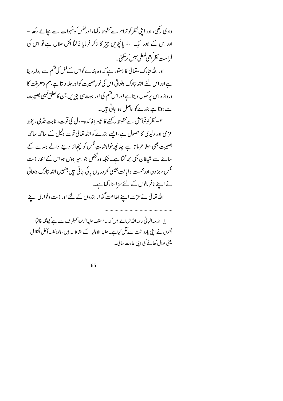| داری رکھی، اور اپنی نظر کو حرام سے محفوظ رکھا، اور نفس کوشہوات سے بچائے رکھا -                                                     |
|------------------------------------------------------------------------------------------------------------------------------------|
| اور اس کے بعد ایک <sup>لے</sup> پانچویں چیز کا ذکر فرمایا غالبًا اکل حلال ہے تو اس کی                                              |
| فراست نظر جمحی غلطی نہیں کر سکتی۔                                                                                                  |
| اور اللہ نتارک وتعالیٰ کا دستور ہے کہ وہ بندے کواس کے عمل کی قسم سے بدلہ دیتا                                                      |
| ہے اور اس لئے اللہ نتارک وتعالیٰ اس کی نورِ بصیرت کو اور حلا دیتا ہے،علم ومعرفت کا                                                 |
| دروازہ اس پر کھول دیتا ہے اور اس فشم کی اور بہت <sub>س</sub> ی چیزیں جن کاتعلق قلبی بصیرت                                          |
| سے ہوتا ہے بندے کو حاصل ہو جاتی ہیں۔                                                                                               |
| ۳-نظر کوفواحش سےمحفوظ رکھنے کا تیسرا فائدہ- دل کی قوت، ثابت قدمی، پختہ                                                             |
| عزمی اور دلیری کا حصول ہے، ایسے بندے کو اللہ تعالیٰ قوت دلیل کے ساتھ ساتھ                                                          |
| بصیرت بھی عطا فرماتا ہے چنانچہ خواہشاتِ تفس کو کچھاڑ دینے والے بندے کے                                                             |
| سائے سے شیطان بھی بھا گتا ہے۔ جبکہ وہ تتخص جو اسیر ہوں ہو اس کے اندر ذلت                                                           |
| <sup>تفس</sup> ، بزدلی اور <i>خس</i> ت و ا <sub>ن</sub> انت جیسی کمزوریاں پائی جاتی ہیں جنہیں اللہ تبارک وتعالیٰ                   |
| نے اپنے نافر مانوں کے لئے سزا بنا رکھا ہے۔                                                                                         |
| اللہ تعالٰی نے عزت اپنے اطاعت گذار بندوں کے لئے اور ذلت وخواری اپنے                                                                |
|                                                                                                                                    |
| لے علامہ البانی رحمہ اللہ فرماتے ہیں کہ بی <sup>ر</sup> صنف علیہ الرحمۃ کیطرف سے ہے کیونکہ غالبًا                                  |
| انھوں نے اپنی بادداشت سے <i>فقل کی</i> ا ہے۔حلیۃ الاولیاء کے الفاظ <i>ہ</i> ہ ہیں، و <sub>گ</sub> ود نفسہ اُکل اُح <sub>ل</sub> ال |

65

یعنی حلال کھانے کی اپنی عادت بنالی۔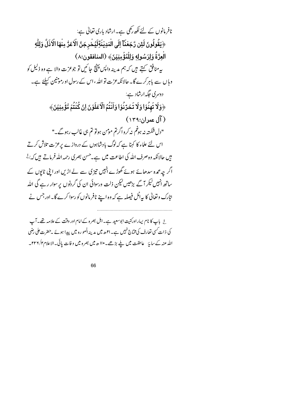66

الله عنه كے سانۂ عاطفت میں لیے بڑھے۔ •اا ھ میں بصرہ میں و فات پائی۔الاعلام ۲۲۶/۲ ـ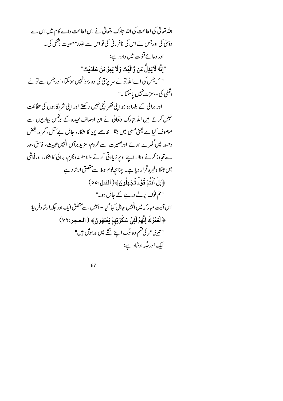اللہ تعالٰی کی اطاعت کی اللہ نتارک وتعالٰی نے اس اطاعت والے کام میں اس سے دوّتی کی اورجس نے اس کی نافرمانی کی تو اس سے بقذر معصیت دشمنی کی۔ اور دعائے قنوت میں دارد ہے: "إِنَّهُ لَايَذِلُّ مَن وَّالَيْتَ وَلَا يَعِزُّ مَنْ عَادَيْتَ" " کہ جس کی اے اللہ تو نے سر پرسی کی وہ رسوانہیں ہوسکتا ، اور جس سے تو نے دشمنی کی وہ عزت نہیں پاسکتا۔" اور برائی کے دلدادہ جو اپنی نظر بیچی نہیں رکھتے اور اپنی شرمگاہوں کی حفاظت نہیں کرتے ہیں اللہ تارک وتعالیٰ نے ان اوصاف حمیدہ کے برعکس بیار یوں سے موصوف کیا ہے یعنی مستی میں مبتلا اندھے ین کا شکار، جاہل بے عقل، گمراہ، بغض وحسد میں گھرے ہوئے اوربصیرت سے محروم، مزید برآں انہیں خیبیث، فاسق،حد سے تجاوز کرنے والا، اپنے اوپر زیادتی کرنے والا مفسد ومجرم، برائی کا شکار، اورفحاشی میں مبتلا وغیرہ قرار دیا ہے۔ چنانچےقوم لوط سے متعلق ارشاد ہے: ﴿بَلْ اَنْتُمْ قَوْمٌ تَجْهَلُونَ﴾( النمل:٥٥) "تم لوگ پر لے درجے کے جاہل ہو۔" اس آیت مبارکہ میں انہیں جاہل کہا گیا – انہیں سے متعلق ایک اور حکیہ ارشاد فرمایا: ﴿ لَعَمْرُكَ إِنَّهُمْ لَفِي سَكْرَتِهِمْ يَعْمَهُونَ﴾ ( الحجر:٧٢) " تیری عمر کی قسم وہ لوگ اپنے نشے میں مدہوش ہیں" ایک اور جگه ارشاد ہے: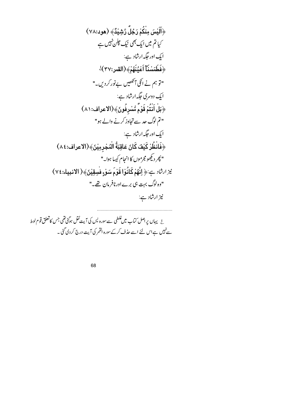$$
\begin{aligned}\n&= \sqrt{2} \left( \sqrt{2} + \frac{1}{2} \right) \left( \sqrt{2} + \frac{1}{2} \right) \left( \sqrt{2} + \frac{1}{2} \right) \left( \sqrt{2} + \frac{1}{2} \right) \left( \sqrt{2} + \frac{1}{2} \right) \left( \sqrt{2} + \frac{1}{2} \right) \left( \sqrt{2} + \frac{1}{2} \right) \left( \sqrt{2} + \frac{1}{2} \right) \left( \sqrt{2} + \frac{1}{2} \right) \left( \sqrt{2} + \frac{1}{2} \right) \left( \sqrt{2} + \frac{1}{2} \right) \left( \sqrt{2} + \frac{1}{2} \right) \left( \sqrt{2} + \frac{1}{2} \right) \left( \sqrt{2} + \frac{1}{2} \right) \left( \sqrt{2} + \frac{1}{2} \right) \left( \sqrt{2} + \frac{1}{2} \right) \left( \sqrt{2} + \frac{1}{2} \right) \left( \sqrt{2} + \frac{1}{2} \right) \left( \sqrt{2} + \frac{1}{2} \right) \left( \sqrt{2} + \frac{1}{2} \right) \left( \sqrt{2} + \frac{1}{2} \right) \left( \sqrt{2} + \frac{1}{2} \right) \left( \sqrt{2} + \frac{1}{2} \right) \left( \sqrt{2} + \frac{1}{2} \right) \left( \sqrt{2} + \frac{1}{2} \right) \left( \sqrt{2} + \frac{1}{2} \right) \left( \sqrt{2} + \frac{1}{2} \right) \left( \sqrt{2} + \frac{1}{2} \right) \left( \sqrt{2} + \frac{1}{2} \right) \left( \sqrt{2} + \frac{1}{2} \right) \left( \sqrt{2} + \frac{1}{2} \right) \left( \sqrt{2} + \frac{1}{2} \right) \left( \sqrt{2} + \frac{1}{2} \right) \left( \sqrt{2} + \frac{1}{2} \right) \left( \sqrt{2} + \frac{1}{2} \right) \left( \sqrt{2} + \frac{1}{2} \right) \left( \sqrt{2} + \frac{1}{2} \right) \left( \sqrt{2} + \frac{1}{2} \right) \left( \sqrt{2} + \frac{1}{2} \right) \left( \
$$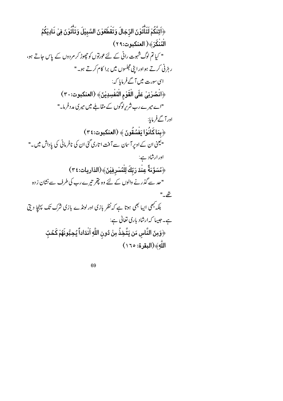$$
\frac{1}{2} \left( \frac{3}{2} \frac{1}{2} \frac{1}{2} \frac{1}{2} \frac{1}{2} \frac{1}{2} \frac{1}{2} \frac{1}{2} \frac{1}{2} \frac{1}{2} \frac{1}{2} \frac{1}{2} \frac{1}{2} \frac{1}{2} \frac{1}{2} \frac{1}{2} \frac{1}{2} \frac{1}{2} \frac{1}{2} \frac{1}{2} \frac{1}{2} \frac{1}{2} \frac{1}{2} \frac{1}{2} \frac{1}{2} \frac{1}{2} \frac{1}{2} \frac{1}{2} \frac{1}{2} \frac{1}{2} \frac{1}{2} \frac{1}{2} \frac{1}{2} \frac{1}{2} \frac{1}{2} \frac{1}{2} \frac{1}{2} \frac{1}{2} \frac{1}{2} \frac{1}{2} \frac{1}{2} \frac{1}{2} \frac{1}{2} \frac{1}{2} \frac{1}{2} \frac{1}{2} \frac{1}{2} \frac{1}{2} \frac{1}{2} \frac{1}{2} \frac{1}{2} \frac{1}{2} \frac{1}{2} \frac{1}{2} \frac{1}{2} \frac{1}{2} \frac{1}{2} \frac{1}{2} \frac{1}{2} \frac{1}{2} \frac{1}{2} \frac{1}{2} \frac{1}{2} \frac{1}{2} \frac{1}{2} \frac{1}{2} \frac{1}{2} \frac{1}{2} \frac{1}{2} \frac{1}{2} \frac{1}{2} \frac{1}{2} \frac{1}{2} \frac{1}{2} \frac{1}{2} \frac{1}{2} \frac{1}{2} \frac{1}{2} \frac{1}{2} \frac{1}{2} \frac{1}{2} \frac{1}{2} \frac{1}{2} \frac{1}{2} \frac{1}{2} \frac{1}{2} \frac{1}{2} \frac{1}{2} \frac{1}{2} \frac{1}{2} \frac{1}{2} \frac{1}{2} \frac{1}{2} \frac{1}{2} \frac{1}{2} \frac{1}{2} \frac{1}{2} \frac{1}{2} \frac{1}{2} \frac{1}{2} \frac{1}{2} \frac{1}{2} \frac{1}{2} \frac{1}{2} \frac{1}{2} \frac{1}{2} \frac{1}{2
$$